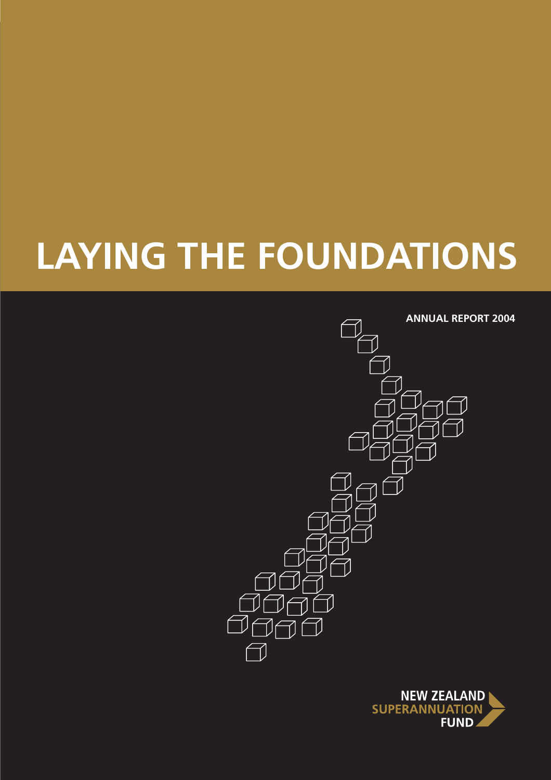# **LAYING THE FOUNDATIONS**



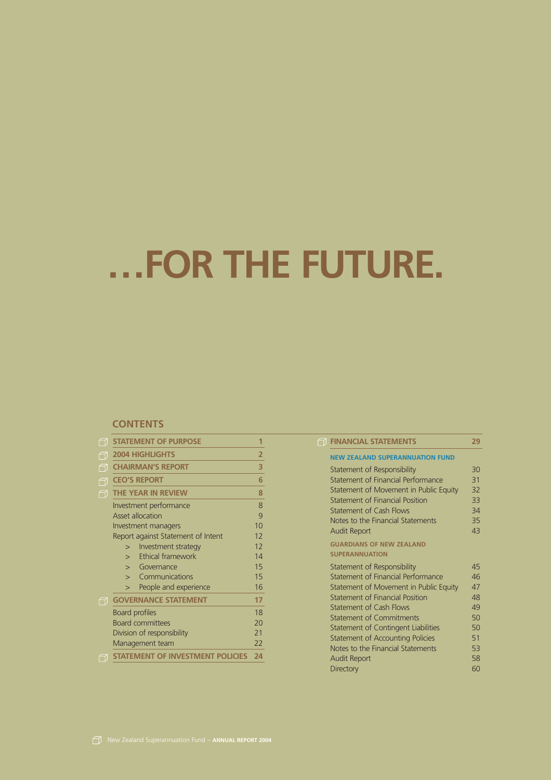# **…FOR THE FUTURE.**

#### **CONTENTS**

| ← | <b>STATEMENT OF PURPOSE</b>              | 1              |
|---|------------------------------------------|----------------|
| 门 | <b>2004 HIGHLIGHTS</b>                   | 2              |
| M | <b>CHAIRMAN'S REPORT</b>                 | 3              |
| ₩ | <b>CEO'S REPORT</b>                      | 6              |
| त | <b>THE YEAR IN REVIEW</b>                | 8              |
|   | Investment performance                   | 8              |
|   | <b>Asset allocation</b>                  | 9              |
|   | Investment managers                      | 1 <sub>0</sub> |
|   | Report against Statement of Intent       | 12             |
|   | Investment strategy<br>$\gt$             | 12             |
|   | <b>Ethical framework</b><br>$\mathbf{r}$ | 14             |
|   | $>$ Governance                           | 15             |
|   | Communications<br>$\mathbf{I}$           | 15             |
|   | People and experience<br>$\geq$          | 16             |
| 勹 | <b>GOVERNANCE STATEMENT</b>              | 17             |
|   | Board profiles                           | 18             |
|   | <b>Board committees</b>                  | 20             |
|   | Division of responsibility               | 21             |
|   | Management team                          | 22             |
|   | <b>STATEMENT OF INVESTMENT POLICIES</b>  | 24             |

| A | <b>FINANCIAL STATEMENTS</b>                | 29 |
|---|--------------------------------------------|----|
|   | <b>NEW ZEALAND SUPERANNUATION FUND</b>     |    |
|   | Statement of Responsibility                | 30 |
|   | Statement of Financial Performance         | 31 |
|   | Statement of Movement in Public Equity     | 32 |
|   | Statement of Financial Position            | 33 |
|   | Statement of Cash Flows                    | 34 |
|   | Notes to the Financial Statements          | 35 |
|   | <b>Audit Report</b>                        | 43 |
|   | <b>GUARDIANS OF NEW ZEALAND</b>            |    |
|   | <b>SUPERANNUATION</b>                      |    |
|   | Statement of Responsibility                | 45 |
|   | Statement of Financial Performance         | 46 |
|   | Statement of Movement in Public Equity     | 47 |
|   | Statement of Financial Position            | 48 |
|   | Statement of Cash Flows                    | 49 |
|   | Statement of Commitments                   | 50 |
|   | <b>Statement of Contingent Liabilities</b> | 50 |
|   | <b>Statement of Accounting Policies</b>    | 51 |
|   | Notes to the Financial Statements          | 53 |
|   | <b>Audit Report</b>                        | 58 |
|   | <b>Directory</b>                           | 60 |
|   |                                            |    |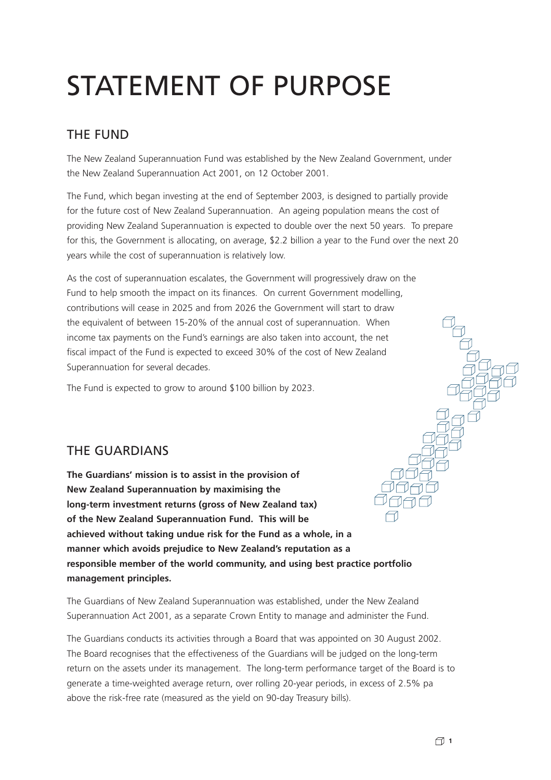# STATEMENT OF PURPOSE

### THE FUND

The New Zealand Superannuation Fund was established by the New Zealand Government, under the New Zealand Superannuation Act 2001, on 12 October 2001.

The Fund, which began investing at the end of September 2003, is designed to partially provide for the future cost of New Zealand Superannuation. An ageing population means the cost of providing New Zealand Superannuation is expected to double over the next 50 years. To prepare for this, the Government is allocating, on average, \$2.2 billion a year to the Fund over the next 20 years while the cost of superannuation is relatively low.

As the cost of superannuation escalates, the Government will progressively draw on the Fund to help smooth the impact on its finances. On current Government modelling, contributions will cease in 2025 and from 2026 the Government will start to draw the equivalent of between 15-20% of the annual cost of superannuation. When income tax payments on the Fund's earnings are also taken into account, the net fiscal impact of the Fund is expected to exceed 30% of the cost of New Zealand Superannuation for several decades.

The Fund is expected to grow to around \$100 billion by 2023.

### THE GUARDIANS

**The Guardians' mission is to assist in the provision of New Zealand Superannuation by maximising the long-term investment returns (gross of New Zealand tax) of the New Zealand Superannuation Fund. This will be achieved without taking undue risk for the Fund as a whole, in a manner which avoids prejudice to New Zealand's reputation as a responsible member of the world community, and using best practice portfolio management principles.**

The Guardians of New Zealand Superannuation was established, under the New Zealand Superannuation Act 2001, as a separate Crown Entity to manage and administer the Fund.

The Guardians conducts its activities through a Board that was appointed on 30 August 2002. The Board recognises that the effectiveness of the Guardians will be judged on the long-term return on the assets under its management. The long-term performance target of the Board is to generate a time-weighted average return, over rolling 20-year periods, in excess of 2.5% pa above the risk-free rate (measured as the yield on 90-day Treasury bills).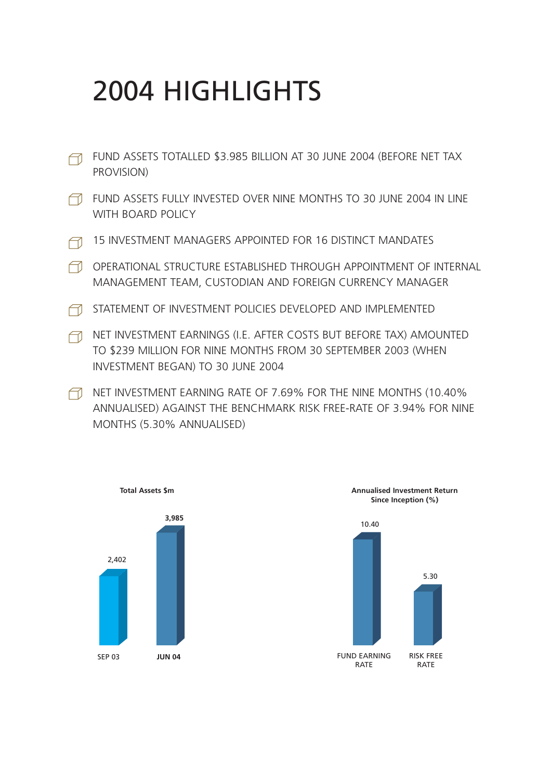# 2004 HIGHLIGHTS

- FUND ASSETS TOTALLED \$3.985 BILLION AT 30 JUNE 2004 (BEFORE NET TAX PROVISION)
- FUND ASSETS FULLY INVESTED OVER NINE MONTHS TO 30 JUNE 2004 IN LINE WITH BOARD POLICY
- 15 INVESTMENT MANAGERS APPOINTED FOR 16 DISTINCT MANDATES
- OPERATIONAL STRUCTURE ESTABLISHED THROUGH APPOINTMENT OF INTERNAL MANAGEMENT TEAM, CUSTODIAN AND FOREIGN CURRENCY MANAGER
- STATEMENT OF INVESTMENT POLICIES DEVELOPED AND IMPLEMENTED
- A NET INVESTMENT EARNINGS (I.E. AFTER COSTS BUT BEFORE TAX) AMOUNTED TO \$239 MILLION FOR NINE MONTHS FROM 30 SEPTEMBER 2003 (WHEN INVESTMENT BEGAN) TO 30 JUNE 2004
- NET INVESTMENT EARNING RATE OF 7.69% FOR THE NINE MONTHS (10.40%) ANNUALISED) AGAINST THE BENCHMARK RISK FREE-RATE OF 3.94% FOR NINE MONTHS (5.30% ANNUALISED)



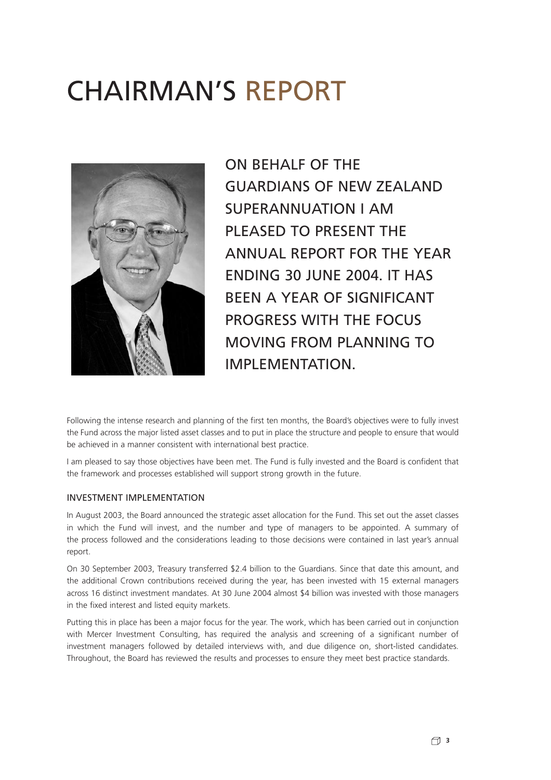# CHAIRMAN'S REPORT



ON BEHALF OF THE GUARDIANS OF NEW ZEALAND SUPERANNUATION I AM PLEASED TO PRESENT THE ANNUAL REPORT FOR THE YEAR ENDING 30 JUNE 2004. IT HAS BEEN A YEAR OF SIGNIFICANT PROGRESS WITH THE FOCUS MOVING FROM PLANNING TO IMPI FMFNTATION

Following the intense research and planning of the first ten months, the Board's objectives were to fully invest the Fund across the major listed asset classes and to put in place the structure and people to ensure that would be achieved in a manner consistent with international best practice.

I am pleased to say those objectives have been met. The Fund is fully invested and the Board is confident that the framework and processes established will support strong growth in the future.

#### INVESTMENT IMPLEMENTATION

In August 2003, the Board announced the strategic asset allocation for the Fund. This set out the asset classes in which the Fund will invest, and the number and type of managers to be appointed. A summary of the process followed and the considerations leading to those decisions were contained in last year's annual report.

On 30 September 2003, Treasury transferred \$2.4 billion to the Guardians. Since that date this amount, and the additional Crown contributions received during the year, has been invested with 15 external managers across 16 distinct investment mandates. At 30 June 2004 almost \$4 billion was invested with those managers in the fixed interest and listed equity markets.

Putting this in place has been a major focus for the year. The work, which has been carried out in conjunction with Mercer Investment Consulting, has required the analysis and screening of a significant number of investment managers followed by detailed interviews with, and due diligence on, short-listed candidates. Throughout, the Board has reviewed the results and processes to ensure they meet best practice standards.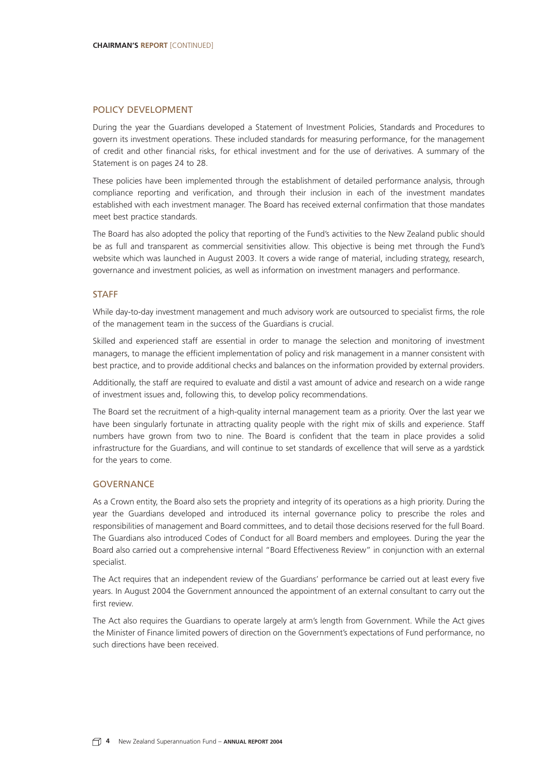#### POLICY DEVELOPMENT

During the year the Guardians developed a Statement of Investment Policies, Standards and Procedures to govern its investment operations. These included standards for measuring performance, for the management of credit and other financial risks, for ethical investment and for the use of derivatives. A summary of the Statement is on pages 24 to 28.

These policies have been implemented through the establishment of detailed performance analysis, through compliance reporting and verification, and through their inclusion in each of the investment mandates established with each investment manager. The Board has received external confirmation that those mandates meet best practice standards.

The Board has also adopted the policy that reporting of the Fund's activities to the New Zealand public should be as full and transparent as commercial sensitivities allow. This objective is being met through the Fund's website which was launched in August 2003. It covers a wide range of material, including strategy, research, governance and investment policies, as well as information on investment managers and performance.

#### **STAFF**

While day-to-day investment management and much advisory work are outsourced to specialist firms, the role of the management team in the success of the Guardians is crucial.

Skilled and experienced staff are essential in order to manage the selection and monitoring of investment managers, to manage the efficient implementation of policy and risk management in a manner consistent with best practice, and to provide additional checks and balances on the information provided by external providers.

Additionally, the staff are required to evaluate and distil a vast amount of advice and research on a wide range of investment issues and, following this, to develop policy recommendations.

The Board set the recruitment of a high-quality internal management team as a priority. Over the last year we have been singularly fortunate in attracting quality people with the right mix of skills and experience. Staff numbers have grown from two to nine. The Board is confident that the team in place provides a solid infrastructure for the Guardians, and will continue to set standards of excellence that will serve as a yardstick for the years to come.

#### **GOVERNANCE**

As a Crown entity, the Board also sets the propriety and integrity of its operations as a high priority. During the year the Guardians developed and introduced its internal governance policy to prescribe the roles and responsibilities of management and Board committees, and to detail those decisions reserved for the full Board. The Guardians also introduced Codes of Conduct for all Board members and employees. During the year the Board also carried out a comprehensive internal "Board Effectiveness Review" in conjunction with an external specialist.

The Act requires that an independent review of the Guardians' performance be carried out at least every five years. In August 2004 the Government announced the appointment of an external consultant to carry out the first review.

The Act also requires the Guardians to operate largely at arm's length from Government. While the Act gives the Minister of Finance limited powers of direction on the Government's expectations of Fund performance, no such directions have been received.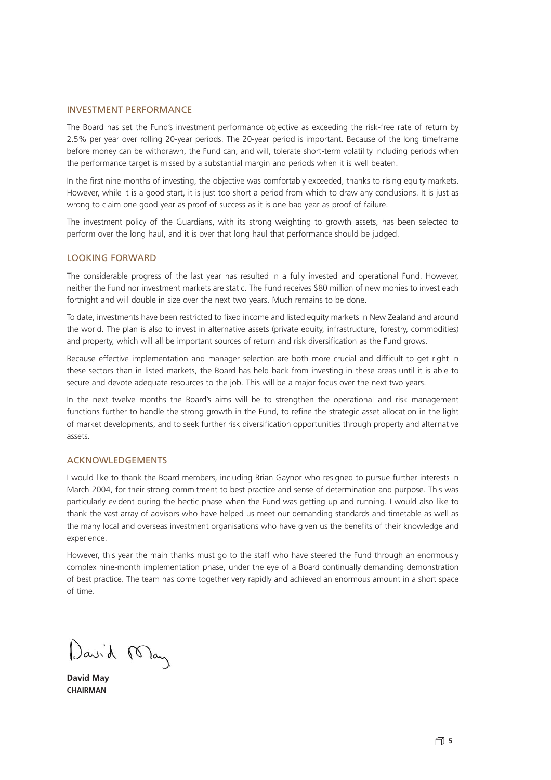#### INVESTMENT PERFORMANCE

The Board has set the Fund's investment performance objective as exceeding the risk-free rate of return by 2.5% per year over rolling 20-year periods. The 20-year period is important. Because of the long timeframe before money can be withdrawn, the Fund can, and will, tolerate short-term volatility including periods when the performance target is missed by a substantial margin and periods when it is well beaten.

In the first nine months of investing, the objective was comfortably exceeded, thanks to rising equity markets. However, while it is a good start, it is just too short a period from which to draw any conclusions. It is just as wrong to claim one good year as proof of success as it is one bad year as proof of failure.

The investment policy of the Guardians, with its strong weighting to growth assets, has been selected to perform over the long haul, and it is over that long haul that performance should be judged.

#### LOOKING FORWARD

The considerable progress of the last year has resulted in a fully invested and operational Fund. However, neither the Fund nor investment markets are static. The Fund receives \$80 million of new monies to invest each fortnight and will double in size over the next two years. Much remains to be done.

To date, investments have been restricted to fixed income and listed equity markets in New Zealand and around the world. The plan is also to invest in alternative assets (private equity, infrastructure, forestry, commodities) and property, which will all be important sources of return and risk diversification as the Fund grows.

Because effective implementation and manager selection are both more crucial and difficult to get right in these sectors than in listed markets, the Board has held back from investing in these areas until it is able to secure and devote adequate resources to the job. This will be a major focus over the next two years.

In the next twelve months the Board's aims will be to strengthen the operational and risk management functions further to handle the strong growth in the Fund, to refine the strategic asset allocation in the light of market developments, and to seek further risk diversification opportunities through property and alternative assets.

#### ACKNOWLEDGEMENTS

I would like to thank the Board members, including Brian Gaynor who resigned to pursue further interests in March 2004, for their strong commitment to best practice and sense of determination and purpose. This was particularly evident during the hectic phase when the Fund was getting up and running. I would also like to thank the vast array of advisors who have helped us meet our demanding standards and timetable as well as the many local and overseas investment organisations who have given us the benefits of their knowledge and experience.

However, this year the main thanks must go to the staff who have steered the Fund through an enormously complex nine-month implementation phase, under the eye of a Board continually demanding demonstration of best practice. The team has come together very rapidly and achieved an enormous amount in a short space of time.

David May

**David May CHAIRMAN**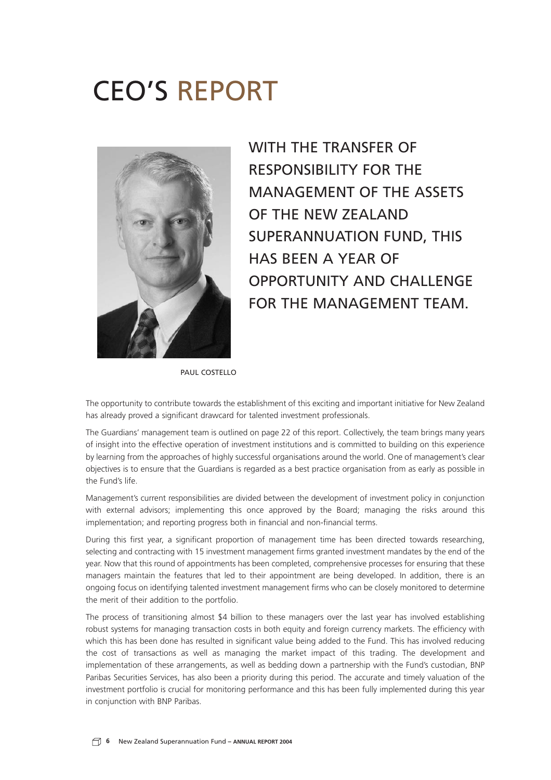# CEO'S REPORT



WITH THE TRANSFER OF RESPONSIBILITY FOR THE MANAGEMENT OF THE ASSETS OF THE NEW ZEALAND SUPERANNUATION FUND, THIS HAS BEEN A YEAR OF OPPORTUNITY AND CHALLENGE FOR THE MANAGEMENT TEAM.

PAUL COSTFLLO

The opportunity to contribute towards the establishment of this exciting and important initiative for New Zealand has already proved a significant drawcard for talented investment professionals.

The Guardians' management team is outlined on page 22 of this report. Collectively, the team brings many years of insight into the effective operation of investment institutions and is committed to building on this experience by learning from the approaches of highly successful organisations around the world. One of management's clear objectives is to ensure that the Guardians is regarded as a best practice organisation from as early as possible in the Fund's life.

Management's current responsibilities are divided between the development of investment policy in conjunction with external advisors; implementing this once approved by the Board; managing the risks around this implementation; and reporting progress both in financial and non-financial terms.

During this first year, a significant proportion of management time has been directed towards researching, selecting and contracting with 15 investment management firms granted investment mandates by the end of the year. Now that this round of appointments has been completed, comprehensive processes for ensuring that these managers maintain the features that led to their appointment are being developed. In addition, there is an ongoing focus on identifying talented investment management firms who can be closely monitored to determine the merit of their addition to the portfolio.

The process of transitioning almost \$4 billion to these managers over the last year has involved establishing robust systems for managing transaction costs in both equity and foreign currency markets. The efficiency with which this has been done has resulted in significant value being added to the Fund. This has involved reducing the cost of transactions as well as managing the market impact of this trading. The development and implementation of these arrangements, as well as bedding down a partnership with the Fund's custodian, BNP Paribas Securities Services, has also been a priority during this period. The accurate and timely valuation of the investment portfolio is crucial for monitoring performance and this has been fully implemented during this year in conjunction with BNP Paribas.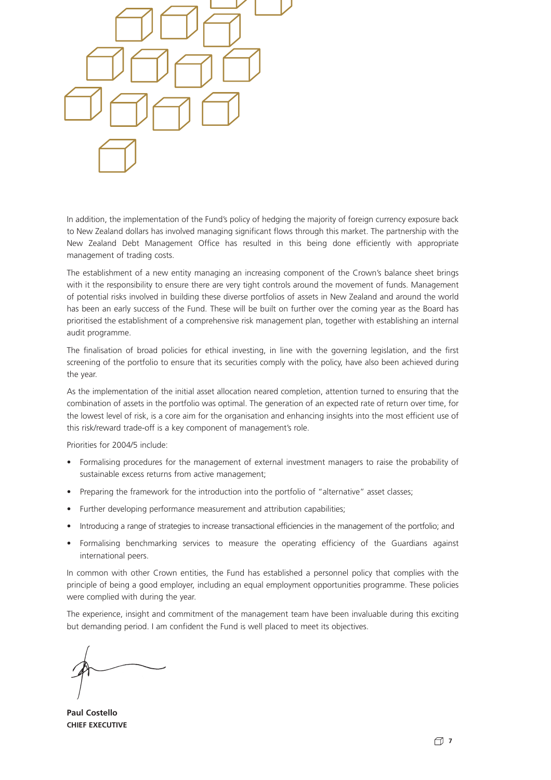

In addition, the implementation of the Fund's policy of hedging the majority of foreign currency exposure back to New Zealand dollars has involved managing significant flows through this market. The partnership with the New Zealand Debt Management Office has resulted in this being done efficiently with appropriate management of trading costs.

The establishment of a new entity managing an increasing component of the Crown's balance sheet brings with it the responsibility to ensure there are very tight controls around the movement of funds. Management of potential risks involved in building these diverse portfolios of assets in New Zealand and around the world has been an early success of the Fund. These will be built on further over the coming year as the Board has prioritised the establishment of a comprehensive risk management plan, together with establishing an internal audit programme.

The finalisation of broad policies for ethical investing, in line with the governing legislation, and the first screening of the portfolio to ensure that its securities comply with the policy, have also been achieved during the year.

As the implementation of the initial asset allocation neared completion, attention turned to ensuring that the combination of assets in the portfolio was optimal. The generation of an expected rate of return over time, for the lowest level of risk, is a core aim for the organisation and enhancing insights into the most efficient use of this risk/reward trade-off is a key component of management's role.

Priorities for 2004/5 include:

- Formalising procedures for the management of external investment managers to raise the probability of sustainable excess returns from active management;
- Preparing the framework for the introduction into the portfolio of "alternative" asset classes;
- Further developing performance measurement and attribution capabilities;
- Introducing a range of strategies to increase transactional efficiencies in the management of the portfolio; and
- Formalising benchmarking services to measure the operating efficiency of the Guardians against international peers.

In common with other Crown entities, the Fund has established a personnel policy that complies with the principle of being a good employer, including an equal employment opportunities programme. These policies were complied with during the year.

The experience, insight and commitment of the management team have been invaluable during this exciting but demanding period. I am confident the Fund is well placed to meet its objectives.

**Paul Costello CHIEF EXECUTIVE**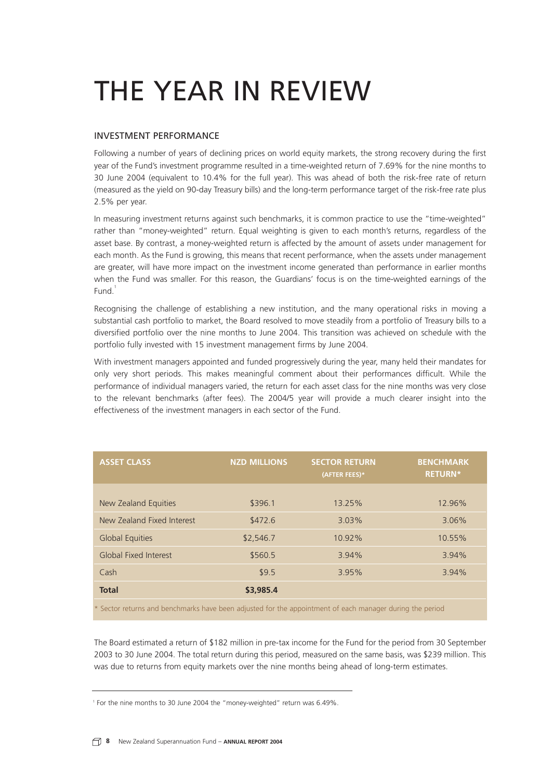# THE YEAR IN REVIEW

#### INVESTMENT PERFORMANCE

Following a number of years of declining prices on world equity markets, the strong recovery during the first year of the Fund's investment programme resulted in a time-weighted return of 7.69% for the nine months to 30 June 2004 (equivalent to 10.4% for the full year). This was ahead of both the risk-free rate of return (measured as the yield on 90-day Treasury bills) and the long-term performance target of the risk-free rate plus 2.5% per year.

In measuring investment returns against such benchmarks, it is common practice to use the "time-weighted" rather than "money-weighted" return. Equal weighting is given to each month's returns, regardless of the asset base. By contrast, a money-weighted return is affected by the amount of assets under management for each month. As the Fund is growing, this means that recent performance, when the assets under management are greater, will have more impact on the investment income generated than performance in earlier months when the Fund was smaller. For this reason, the Guardians' focus is on the time-weighted earnings of the Fund<sup>1</sup>

Recognising the challenge of establishing a new institution, and the many operational risks in moving a substantial cash portfolio to market, the Board resolved to move steadily from a portfolio of Treasury bills to a diversified portfolio over the nine months to June 2004. This transition was achieved on schedule with the portfolio fully invested with 15 investment management firms by June 2004.

With investment managers appointed and funded progressively during the year, many held their mandates for only very short periods. This makes meaningful comment about their performances difficult. While the performance of individual managers varied, the return for each asset class for the nine months was very close to the relevant benchmarks (after fees). The 2004/5 year will provide a much clearer insight into the effectiveness of the investment managers in each sector of the Fund.

| <b>ASSET CLASS</b>                                                                                       | <b>NZD MILLIONS</b> | <b>SECTOR RETURN</b><br>(AFTER FEES)* | <b>BENCHMARK</b><br><b>RETURN*</b> |
|----------------------------------------------------------------------------------------------------------|---------------------|---------------------------------------|------------------------------------|
|                                                                                                          | \$396.1             | 13.25%                                | 12.96%                             |
| New Zealand Equities                                                                                     |                     |                                       |                                    |
| New Zealand Fixed Interest                                                                               | \$472.6             | 3.03%                                 | 3.06%                              |
| <b>Global Equities</b>                                                                                   | \$2,546.7           | 10.92%                                | 10.55%                             |
| Global Fixed Interest                                                                                    | \$560.5             | 3.94%                                 | 3.94%                              |
| Cash                                                                                                     | \$9.5               | 3.95%                                 | 3.94%                              |
| <b>Total</b>                                                                                             | \$3,985.4           |                                       |                                    |
| * Costar returns and benchmarks have been adjusted for the appeintment of each manager during the period |                     |                                       |                                    |

been adjusted for the appointment of each manager during the period

The Board estimated a return of \$182 million in pre-tax income for the Fund for the period from 30 September 2003 to 30 June 2004. The total return during this period, measured on the same basis, was \$239 million. This was due to returns from equity markets over the nine months being ahead of long-term estimates.

<sup>&</sup>lt;sup>1</sup> For the nine months to 30 June 2004 the "money-weighted" return was 6.49%.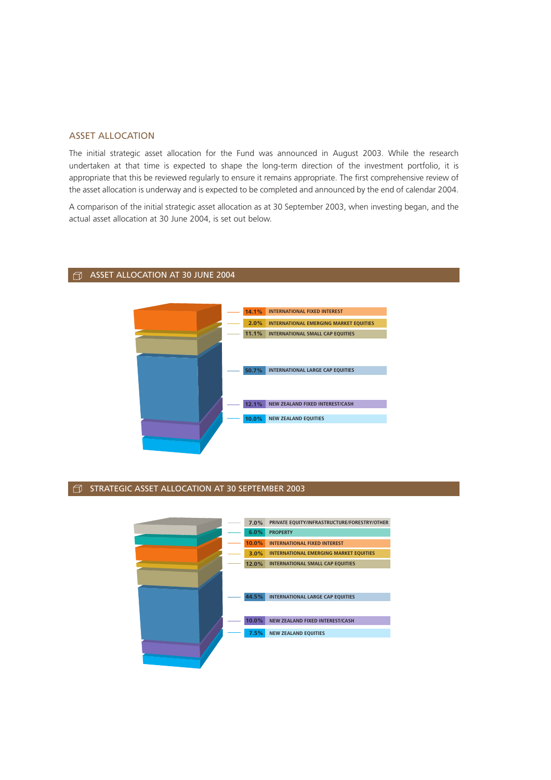#### ASSET ALLOCATION

The initial strategic asset allocation for the Fund was announced in August 2003. While the research undertaken at that time is expected to shape the long-term direction of the investment portfolio, it is appropriate that this be reviewed regularly to ensure it remains appropriate. The first comprehensive review of the asset allocation is underway and is expected to be completed and announced by the end of calendar 2004.

A comparison of the initial strategic asset allocation as at 30 September 2003, when investing began, and the actual asset allocation at 30 June 2004, is set out below.

#### $\Box$  ASSET ALLOCATION AT 30 JUNE 2004



#### $\Box$  STRATEGIC ASSET ALLOCATION AT 30 SEPTEMBER 2003

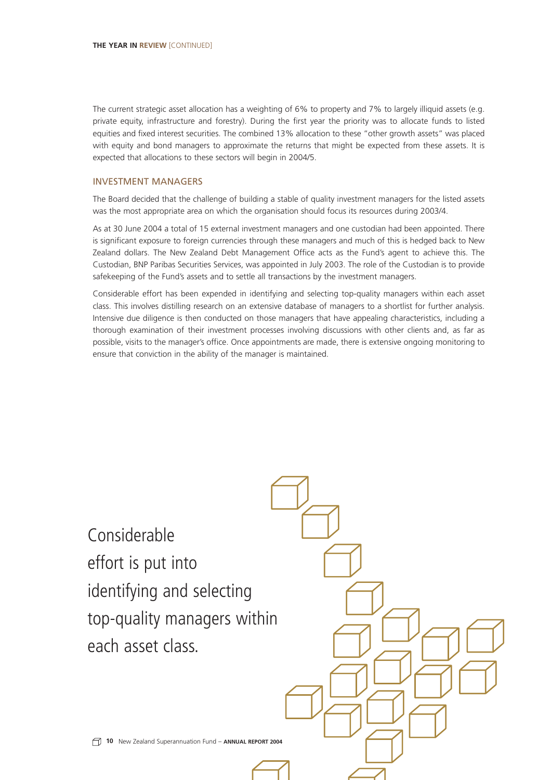The current strategic asset allocation has a weighting of 6% to property and 7% to largely illiquid assets (e.g. private equity, infrastructure and forestry). During the first year the priority was to allocate funds to listed equities and fixed interest securities. The combined 13% allocation to these "other growth assets" was placed with equity and bond managers to approximate the returns that might be expected from these assets. It is expected that allocations to these sectors will begin in 2004/5.

#### INVESTMENT MANAGERS

The Board decided that the challenge of building a stable of quality investment managers for the listed assets was the most appropriate area on which the organisation should focus its resources during 2003/4.

As at 30 June 2004 a total of 15 external investment managers and one custodian had been appointed. There is significant exposure to foreign currencies through these managers and much of this is hedged back to New Zealand dollars. The New Zealand Debt Management Office acts as the Fund's agent to achieve this. The Custodian, BNP Paribas Securities Services, was appointed in July 2003. The role of the Custodian is to provide safekeeping of the Fund's assets and to settle all transactions by the investment managers.

Considerable effort has been expended in identifying and selecting top-quality managers within each asset class. This involves distilling research on an extensive database of managers to a shortlist for further analysis. Intensive due diligence is then conducted on those managers that have appealing characteristics, including a thorough examination of their investment processes involving discussions with other clients and, as far as possible, visits to the manager's office. Once appointments are made, there is extensive ongoing monitoring to ensure that conviction in the ability of the manager is maintained.

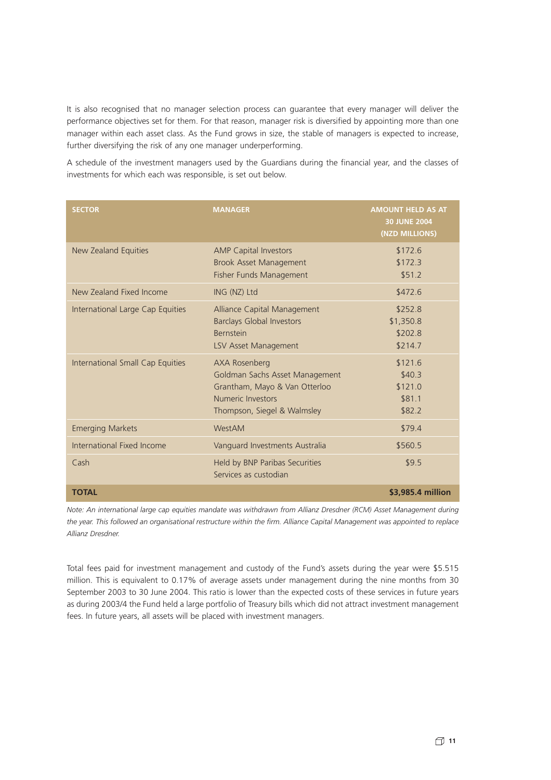It is also recognised that no manager selection process can guarantee that every manager will deliver the performance objectives set for them. For that reason, manager risk is diversified by appointing more than one manager within each asset class. As the Fund grows in size, the stable of managers is expected to increase, further diversifying the risk of any one manager underperforming.

A schedule of the investment managers used by the Guardians during the financial year, and the classes of investments for which each was responsible, is set out below.

| <b>SECTOR</b>                    | <b>MANAGER</b>                                                                                                                       | <b>AMOUNT HELD AS AT</b><br><b>30 JUNE 2004</b><br>(NZD MILLIONS) |
|----------------------------------|--------------------------------------------------------------------------------------------------------------------------------------|-------------------------------------------------------------------|
| New Zealand Equities             | <b>AMP Capital Investors</b><br>Brook Asset Management<br>Fisher Funds Management                                                    | \$172.6<br>\$172.3<br>\$51.2                                      |
| New Zealand Fixed Income         | ING (NZ) Ltd                                                                                                                         | \$472.6                                                           |
| International Large Cap Equities | Alliance Capital Management<br><b>Barclays Global Investors</b><br><b>Bernstein</b><br>LSV Asset Management                          | \$252.8<br>\$1,350.8<br>\$202.8<br>\$214.7                        |
| International Small Cap Equities | AXA Rosenberg<br>Goldman Sachs Asset Management<br>Grantham, Mayo & Van Otterloo<br>Numeric Investors<br>Thompson, Siegel & Walmsley | \$121.6<br>\$40.3<br>\$121.0<br>\$81.1<br>\$82.2                  |
| <b>Emerging Markets</b>          | WestAM                                                                                                                               | \$79.4                                                            |
| International Fixed Income       | Vanguard Investments Australia                                                                                                       | \$560.5                                                           |
| Cash                             | Held by BNP Paribas Securities<br>Services as custodian                                                                              | \$9.5                                                             |
| <b>TOTAL</b>                     |                                                                                                                                      | \$3,985.4 million                                                 |

*Note: An international large cap equities mandate was withdrawn from Allianz Dresdner (RCM) Asset Management during the year. This followed an organisational restructure within the firm. Alliance Capital Management was appointed to replace Allianz Dresdner.*

Total fees paid for investment management and custody of the Fund's assets during the year were \$5.515 million. This is equivalent to 0.17% of average assets under management during the nine months from 30 September 2003 to 30 June 2004. This ratio is lower than the expected costs of these services in future years as during 2003/4 the Fund held a large portfolio of Treasury bills which did not attract investment management fees. In future years, all assets will be placed with investment managers.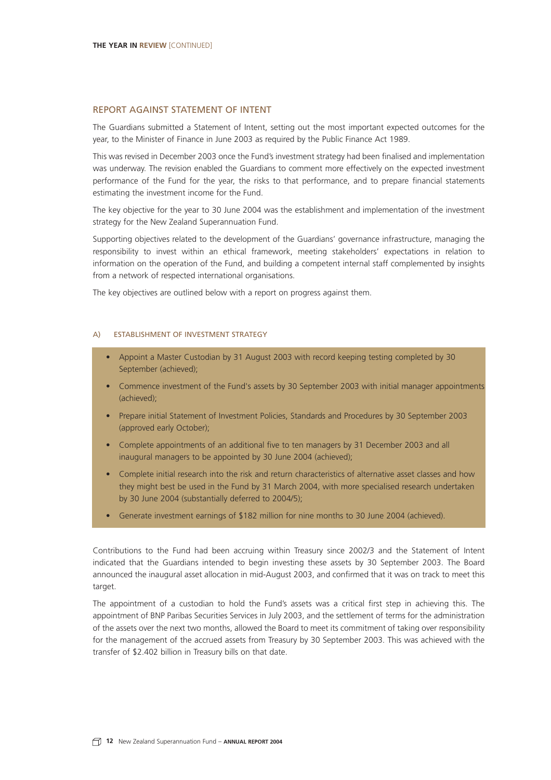#### REPORT AGAINST STATEMENT OF INTENT

The Guardians submitted a Statement of Intent, setting out the most important expected outcomes for the year, to the Minister of Finance in June 2003 as required by the Public Finance Act 1989.

This was revised in December 2003 once the Fund's investment strategy had been finalised and implementation was underway. The revision enabled the Guardians to comment more effectively on the expected investment performance of the Fund for the year, the risks to that performance, and to prepare financial statements estimating the investment income for the Fund.

The key objective for the year to 30 June 2004 was the establishment and implementation of the investment strategy for the New Zealand Superannuation Fund.

Supporting objectives related to the development of the Guardians' governance infrastructure, managing the responsibility to invest within an ethical framework, meeting stakeholders' expectations in relation to information on the operation of the Fund, and building a competent internal staff complemented by insights from a network of respected international organisations.

The key objectives are outlined below with a report on progress against them.

#### A) ESTABLISHMENT OF INVESTMENT STRATEGY

- Appoint a Master Custodian by 31 August 2003 with record keeping testing completed by 30 September (achieved);
- Commence investment of the Fund's assets by 30 September 2003 with initial manager appointments (achieved);
- Prepare initial Statement of Investment Policies, Standards and Procedures by 30 September 2003 (approved early October);
- Complete appointments of an additional five to ten managers by 31 December 2003 and all inaugural managers to be appointed by 30 June 2004 (achieved);
- Complete initial research into the risk and return characteristics of alternative asset classes and how they might best be used in the Fund by 31 March 2004, with more specialised research undertaken by 30 June 2004 (substantially deferred to 2004/5);
- Generate investment earnings of \$182 million for nine months to 30 June 2004 (achieved).

Contributions to the Fund had been accruing within Treasury since 2002/3 and the Statement of Intent indicated that the Guardians intended to begin investing these assets by 30 September 2003. The Board announced the inaugural asset allocation in mid-August 2003, and confirmed that it was on track to meet this target.

The appointment of a custodian to hold the Fund's assets was a critical first step in achieving this. The appointment of BNP Paribas Securities Services in July 2003, and the settlement of terms for the administration of the assets over the next two months, allowed the Board to meet its commitment of taking over responsibility for the management of the accrued assets from Treasury by 30 September 2003. This was achieved with the transfer of \$2.402 billion in Treasury bills on that date.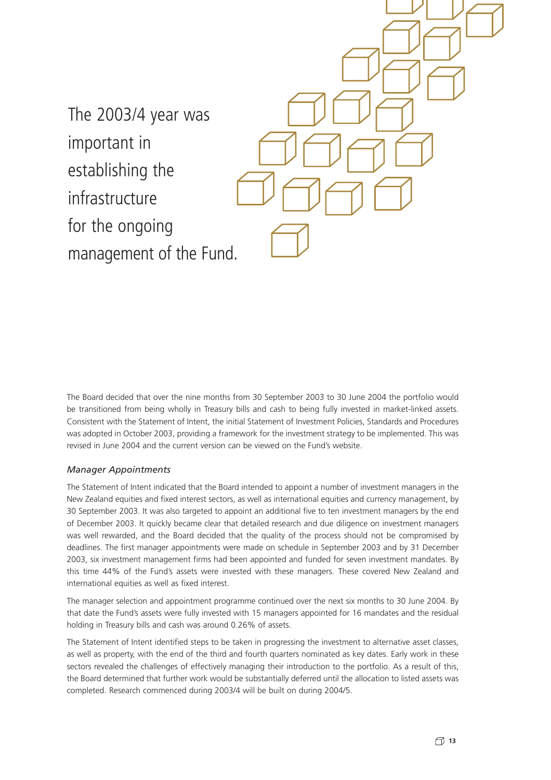The 2003/4 year was important in establishing the infrastructure for the ongoing management of the Fund.

The Board decided that over the nine months from 30 September 2003 to 30 June 2004 the portfolio would be transitioned from being wholly in Treasury bills and cash to being fully invested in market-linked assets. Consistent with the Statement of Intent, the initial Statement of Investment Policies, Standards and Procedures was adopted in October 2003, providing a framework for the investment strategy to be implemented. This was revised in June 2004 and the current version can be viewed on the Fund's website.

#### *Manager Appointments*

The Statement of Intent indicated that the Board intended to appoint a number of investment managers in the New Zealand equities and fixed interest sectors, as well as international equities and currency management, by 30 September 2003. It was also targeted to appoint an additional five to ten investment managers by the end of December 2003. It quickly became clear that detailed research and due diligence on investment managers was well rewarded, and the Board decided that the quality of the process should not be compromised by deadlines. The first manager appointments were made on schedule in September 2003 and by 31 December 2003, six investment management firms had been appointed and funded for seven investment mandates. By this time 44% of the Fund's assets were invested with these managers. These covered New Zealand and international equities as well as fixed interest.

The manager selection and appointment programme continued over the next six months to 30 June 2004. By that date the Fund's assets were fully invested with 15 managers appointed for 16 mandates and the residual holding in Treasury bills and cash was around 0.26% of assets.

The Statement of Intent identified steps to be taken in progressing the investment to alternative asset classes, as well as property, with the end of the third and fourth quarters nominated as key dates. Early work in these sectors revealed the challenges of effectively managing their introduction to the portfolio. As a result of this, the Board determined that further work would be substantially deferred until the allocation to listed assets was completed. Research commenced during 2003/4 will be built on during 2004/5.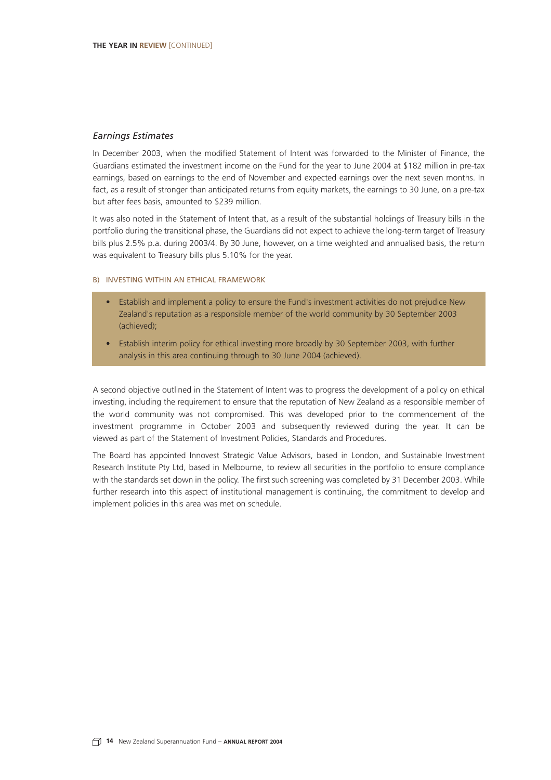#### *Earnings Estimates*

In December 2003, when the modified Statement of Intent was forwarded to the Minister of Finance, the Guardians estimated the investment income on the Fund for the year to June 2004 at \$182 million in pre-tax earnings, based on earnings to the end of November and expected earnings over the next seven months. In fact, as a result of stronger than anticipated returns from equity markets, the earnings to 30 June, on a pre-tax but after fees basis, amounted to \$239 million.

It was also noted in the Statement of Intent that, as a result of the substantial holdings of Treasury bills in the portfolio during the transitional phase, the Guardians did not expect to achieve the long-term target of Treasury bills plus 2.5% p.a. during 2003/4. By 30 June, however, on a time weighted and annualised basis, the return was equivalent to Treasury bills plus 5.10% for the year.

#### B) INVESTING WITHIN AN ETHICAL FRAMEWORK

- Establish and implement a policy to ensure the Fund's investment activities do not prejudice New Zealand's reputation as a responsible member of the world community by 30 September 2003 (achieved);
- Establish interim policy for ethical investing more broadly by 30 September 2003, with further analysis in this area continuing through to 30 June 2004 (achieved).

A second objective outlined in the Statement of Intent was to progress the development of a policy on ethical investing, including the requirement to ensure that the reputation of New Zealand as a responsible member of the world community was not compromised. This was developed prior to the commencement of the investment programme in October 2003 and subsequently reviewed during the year. It can be viewed as part of the Statement of Investment Policies, Standards and Procedures.

The Board has appointed Innovest Strategic Value Advisors, based in London, and Sustainable Investment Research Institute Pty Ltd, based in Melbourne, to review all securities in the portfolio to ensure compliance with the standards set down in the policy. The first such screening was completed by 31 December 2003. While further research into this aspect of institutional management is continuing, the commitment to develop and implement policies in this area was met on schedule.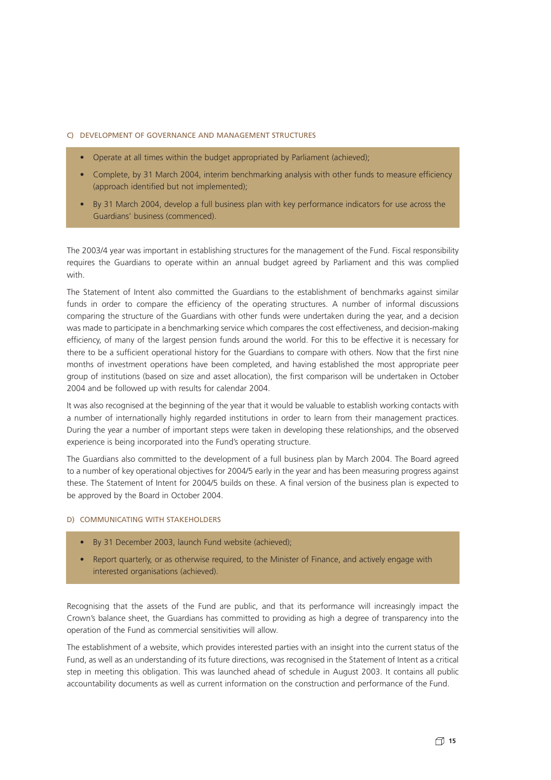#### C) DEVELOPMENT OF GOVERNANCE AND MANAGEMENT STRUCTURES

- Operate at all times within the budget appropriated by Parliament (achieved);
- Complete, by 31 March 2004, interim benchmarking analysis with other funds to measure efficiency (approach identified but not implemented);
- By 31 March 2004, develop a full business plan with key performance indicators for use across the Guardians' business (commenced).

The 2003/4 year was important in establishing structures for the management of the Fund. Fiscal responsibility requires the Guardians to operate within an annual budget agreed by Parliament and this was complied with.

The Statement of Intent also committed the Guardians to the establishment of benchmarks against similar funds in order to compare the efficiency of the operating structures. A number of informal discussions comparing the structure of the Guardians with other funds were undertaken during the year, and a decision was made to participate in a benchmarking service which compares the cost effectiveness, and decision-making efficiency, of many of the largest pension funds around the world. For this to be effective it is necessary for there to be a sufficient operational history for the Guardians to compare with others. Now that the first nine months of investment operations have been completed, and having established the most appropriate peer group of institutions (based on size and asset allocation), the first comparison will be undertaken in October 2004 and be followed up with results for calendar 2004.

It was also recognised at the beginning of the year that it would be valuable to establish working contacts with a number of internationally highly regarded institutions in order to learn from their management practices. During the year a number of important steps were taken in developing these relationships, and the observed experience is being incorporated into the Fund's operating structure.

The Guardians also committed to the development of a full business plan by March 2004. The Board agreed to a number of key operational objectives for 2004/5 early in the year and has been measuring progress against these. The Statement of Intent for 2004/5 builds on these. A final version of the business plan is expected to be approved by the Board in October 2004.

#### D) COMMUNICATING WITH STAKEHOLDERS

- By 31 December 2003, launch Fund website (achieved);
- Report quarterly, or as otherwise required, to the Minister of Finance, and actively engage with interested organisations (achieved).

Recognising that the assets of the Fund are public, and that its performance will increasingly impact the Crown's balance sheet, the Guardians has committed to providing as high a degree of transparency into the operation of the Fund as commercial sensitivities will allow.

The establishment of a website, which provides interested parties with an insight into the current status of the Fund, as well as an understanding of its future directions, was recognised in the Statement of Intent as a critical step in meeting this obligation. This was launched ahead of schedule in August 2003. It contains all public accountability documents as well as current information on the construction and performance of the Fund.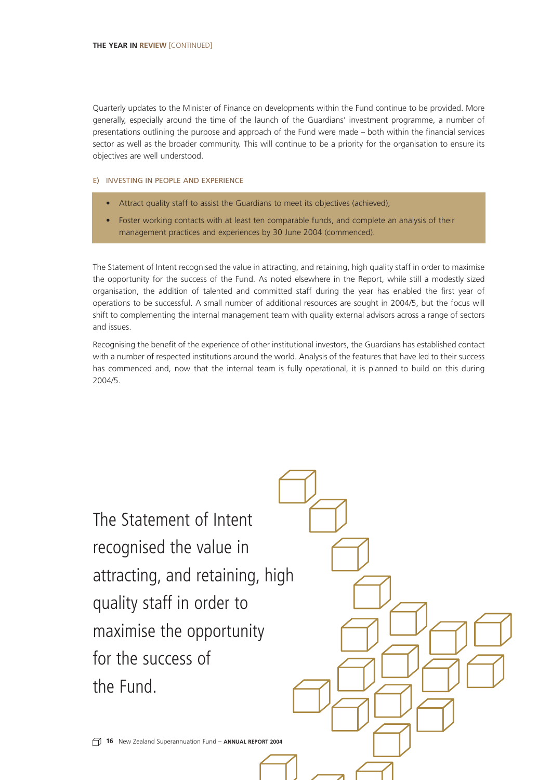Quarterly updates to the Minister of Finance on developments within the Fund continue to be provided. More generally, especially around the time of the launch of the Guardians' investment programme, a number of presentations outlining the purpose and approach of the Fund were made – both within the financial services sector as well as the broader community. This will continue to be a priority for the organisation to ensure its objectives are well understood.

#### E) INVESTING IN PEOPLE AND EXPERIENCE

- Attract quality staff to assist the Guardians to meet its objectives (achieved);
- Foster working contacts with at least ten comparable funds, and complete an analysis of their management practices and experiences by 30 June 2004 (commenced).

The Statement of Intent recognised the value in attracting, and retaining, high quality staff in order to maximise the opportunity for the success of the Fund. As noted elsewhere in the Report, while still a modestly sized organisation, the addition of talented and committed staff during the year has enabled the first year of operations to be successful. A small number of additional resources are sought in 2004/5, but the focus will shift to complementing the internal management team with quality external advisors across a range of sectors and issues.

Recognising the benefit of the experience of other institutional investors, the Guardians has established contact with a number of respected institutions around the world. Analysis of the features that have led to their success has commenced and, now that the internal team is fully operational, it is planned to build on this during 2004/5.

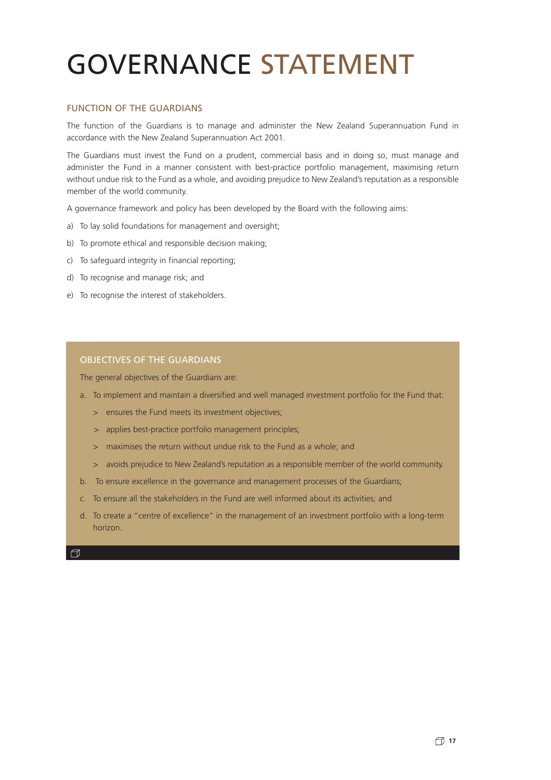# GOVERNANCE STATEMENT

#### FUNCTION OF THE GUARDIANS

The function of the Guardians is to manage and administer the New Zealand Superannuation Fund in accordance with the New Zealand Superannuation Act 2001.

The Guardians must invest the Fund on a prudent, commercial basis and in doing so, must manage and administer the Fund in a manner consistent with best-practice portfolio management, maximising return without undue risk to the Fund as a whole, and avoiding prejudice to New Zealand's reputation as a responsible member of the world community.

A governance framework and policy has been developed by the Board with the following aims:

- a) To lay solid foundations for management and oversight;
- b) To promote ethical and responsible decision making;
- c) To safeguard integrity in financial reporting;
- d) To recognise and manage risk; and
- e) To recognise the interest of stakeholders.

#### OBJECTIVES OF THE GUARDIANS

The general objectives of the Guardians are:

- a. To implement and maintain a diversified and well managed investment portfolio for the Fund that:
	- > ensures the Fund meets its investment objectives;
	- > applies best-practice portfolio management principles;
	- > maximises the return without undue risk to the Fund as a whole; and
	- > avoids prejudice to New Zealand's reputation as a responsible member of the world community.
- b. To ensure excellence in the governance and management processes of the Guardians;
- c. To ensure all the stakeholders in the Fund are well informed about its activities; and
- d. To create a "centre of excellence" in the management of an investment portfolio with a long-term horizon.

 $\Box$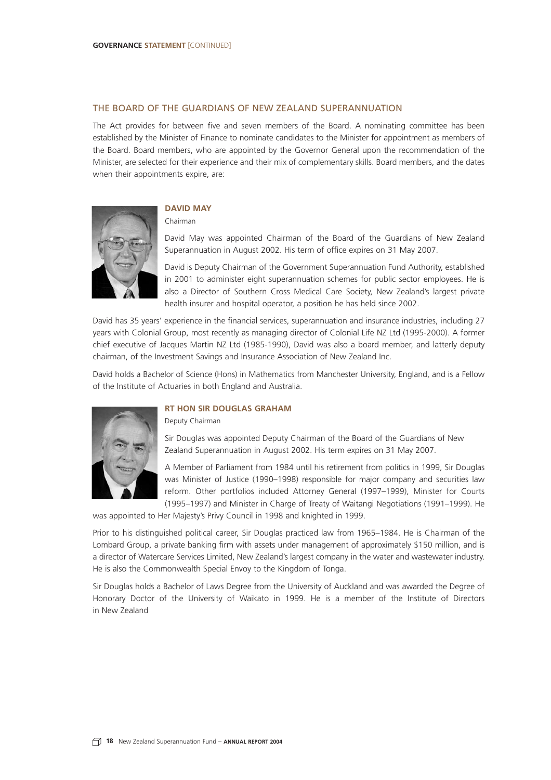#### THE BOARD OF THE GUARDIANS OF NEW ZEALAND SUPERANNUATION

The Act provides for between five and seven members of the Board. A nominating committee has been established by the Minister of Finance to nominate candidates to the Minister for appointment as members of the Board. Board members, who are appointed by the Governor General upon the recommendation of the Minister, are selected for their experience and their mix of complementary skills. Board members, and the dates when their appointments expire, are:



#### **DAVID MAY**

Chairman

David May was appointed Chairman of the Board of the Guardians of New Zealand Superannuation in August 2002. His term of office expires on 31 May 2007.

David is Deputy Chairman of the Government Superannuation Fund Authority, established in 2001 to administer eight superannuation schemes for public sector employees. He is also a Director of Southern Cross Medical Care Society, New Zealand's largest private health insurer and hospital operator, a position he has held since 2002.

David has 35 years' experience in the financial services, superannuation and insurance industries, including 27 years with Colonial Group, most recently as managing director of Colonial Life NZ Ltd (1995-2000). A former chief executive of Jacques Martin NZ Ltd (1985-1990), David was also a board member, and latterly deputy chairman, of the Investment Savings and Insurance Association of New Zealand Inc.

David holds a Bachelor of Science (Hons) in Mathematics from Manchester University, England, and is a Fellow of the Institute of Actuaries in both England and Australia.



#### **RT HON SIR DOUGLAS GRAHAM**

Deputy Chairman

Sir Douglas was appointed Deputy Chairman of the Board of the Guardians of New Zealand Superannuation in August 2002. His term expires on 31 May 2007.

A Member of Parliament from 1984 until his retirement from politics in 1999, Sir Douglas was Minister of Justice (1990–1998) responsible for major company and securities law reform. Other portfolios included Attorney General (1997–1999), Minister for Courts (1995–1997) and Minister in Charge of Treaty of Waitangi Negotiations (1991–1999). He

was appointed to Her Majesty's Privy Council in 1998 and knighted in 1999.

Prior to his distinguished political career, Sir Douglas practiced law from 1965–1984. He is Chairman of the Lombard Group, a private banking firm with assets under management of approximately \$150 million, and is a director of Watercare Services Limited, New Zealand's largest company in the water and wastewater industry. He is also the Commonwealth Special Envoy to the Kingdom of Tonga.

Sir Douglas holds a Bachelor of Laws Degree from the University of Auckland and was awarded the Degree of Honorary Doctor of the University of Waikato in 1999. He is a member of the Institute of Directors in New Zealand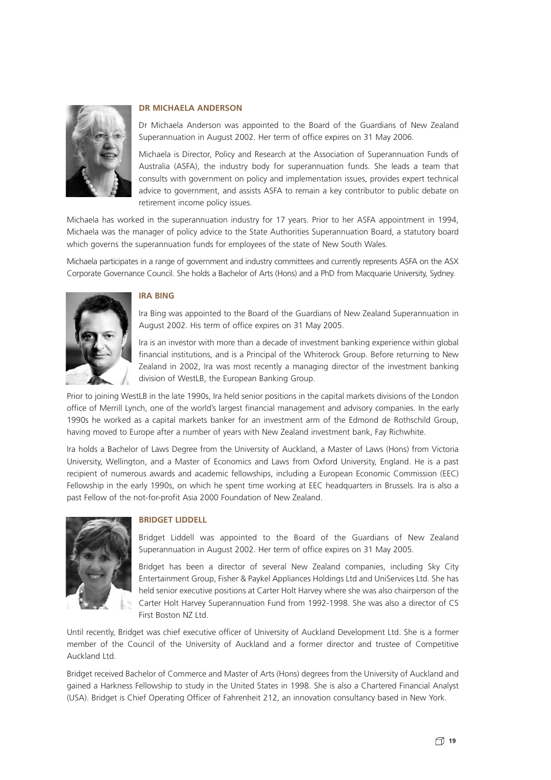

#### **DR MICHAELA ANDERSON**

Dr Michaela Anderson was appointed to the Board of the Guardians of New Zealand Superannuation in August 2002. Her term of office expires on 31 May 2006.

Michaela is Director, Policy and Research at the Association of Superannuation Funds of Australia (ASFA), the industry body for superannuation funds. She leads a team that consults with government on policy and implementation issues, provides expert technical advice to government, and assists ASFA to remain a key contributor to public debate on retirement income policy issues.

Michaela has worked in the superannuation industry for 17 years. Prior to her ASFA appointment in 1994, Michaela was the manager of policy advice to the State Authorities Superannuation Board, a statutory board which governs the superannuation funds for employees of the state of New South Wales.

Michaela participates in a range of government and industry committees and currently represents ASFA on the ASX Corporate Governance Council. She holds a Bachelor of Arts (Hons) and a PhD from Macquarie University, Sydney.



#### **IRA BING**

Ira Bing was appointed to the Board of the Guardians of New Zealand Superannuation in August 2002. His term of office expires on 31 May 2005.

Ira is an investor with more than a decade of investment banking experience within global financial institutions, and is a Principal of the Whiterock Group. Before returning to New Zealand in 2002, Ira was most recently a managing director of the investment banking division of WestLB, the European Banking Group.

Prior to joining WestLB in the late 1990s, Ira held senior positions in the capital markets divisions of the London office of Merrill Lynch, one of the world's largest financial management and advisory companies. In the early 1990s he worked as a capital markets banker for an investment arm of the Edmond de Rothschild Group, having moved to Europe after a number of years with New Zealand investment bank, Fay Richwhite.

Ira holds a Bachelor of Laws Degree from the University of Auckland, a Master of Laws (Hons) from Victoria University, Wellington, and a Master of Economics and Laws from Oxford University, England. He is a past recipient of numerous awards and academic fellowships, including a European Economic Commission (EEC) Fellowship in the early 1990s, on which he spent time working at EEC headquarters in Brussels. Ira is also a past Fellow of the not-for-profit Asia 2000 Foundation of New Zealand.



#### **BRIDGET LIDDELL**

Bridget Liddell was appointed to the Board of the Guardians of New Zealand Superannuation in August 2002. Her term of office expires on 31 May 2005.

Bridget has been a director of several New Zealand companies, including Sky City Entertainment Group, Fisher & Paykel Appliances Holdings Ltd and UniServices Ltd. She has held senior executive positions at Carter Holt Harvey where she was also chairperson of the Carter Holt Harvey Superannuation Fund from 1992-1998. She was also a director of CS First Boston NZ Ltd.

Until recently, Bridget was chief executive officer of University of Auckland Development Ltd. She is a former member of the Council of the University of Auckland and a former director and trustee of Competitive Auckland Ltd.

Bridget received Bachelor of Commerce and Master of Arts (Hons) degrees from the University of Auckland and gained a Harkness Fellowship to study in the United States in 1998. She is also a Chartered Financial Analyst (USA). Bridget is Chief Operating Officer of Fahrenheit 212, an innovation consultancy based in New York.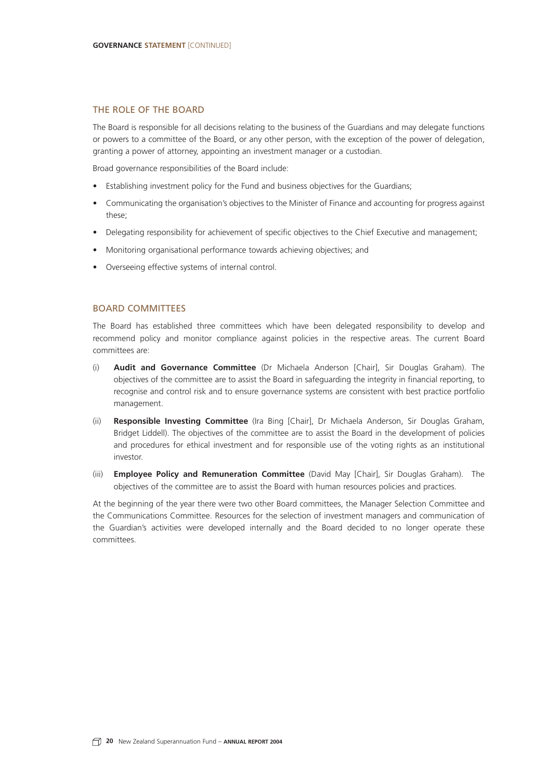#### THE ROLE OF THE BOARD

The Board is responsible for all decisions relating to the business of the Guardians and may delegate functions or powers to a committee of the Board, or any other person, with the exception of the power of delegation, granting a power of attorney, appointing an investment manager or a custodian.

Broad governance responsibilities of the Board include:

- Establishing investment policy for the Fund and business objectives for the Guardians;
- Communicating the organisation's objectives to the Minister of Finance and accounting for progress against these;
- Delegating responsibility for achievement of specific objectives to the Chief Executive and management;
- Monitoring organisational performance towards achieving objectives; and
- Overseeing effective systems of internal control.

#### BOARD COMMITTEES

The Board has established three committees which have been delegated responsibility to develop and recommend policy and monitor compliance against policies in the respective areas. The current Board committees are:

- (i) **Audit and Governance Committee** (Dr Michaela Anderson [Chair], Sir Douglas Graham). The objectives of the committee are to assist the Board in safeguarding the integrity in financial reporting, to recognise and control risk and to ensure governance systems are consistent with best practice portfolio management.
- (ii) **Responsible Investing Committee** (Ira Bing [Chair], Dr Michaela Anderson, Sir Douglas Graham, Bridget Liddell). The objectives of the committee are to assist the Board in the development of policies and procedures for ethical investment and for responsible use of the voting rights as an institutional investor.
- (iii) **Employee Policy and Remuneration Committee** (David May [Chair], Sir Douglas Graham). The objectives of the committee are to assist the Board with human resources policies and practices.

At the beginning of the year there were two other Board committees, the Manager Selection Committee and the Communications Committee. Resources for the selection of investment managers and communication of the Guardian's activities were developed internally and the Board decided to no longer operate these committees.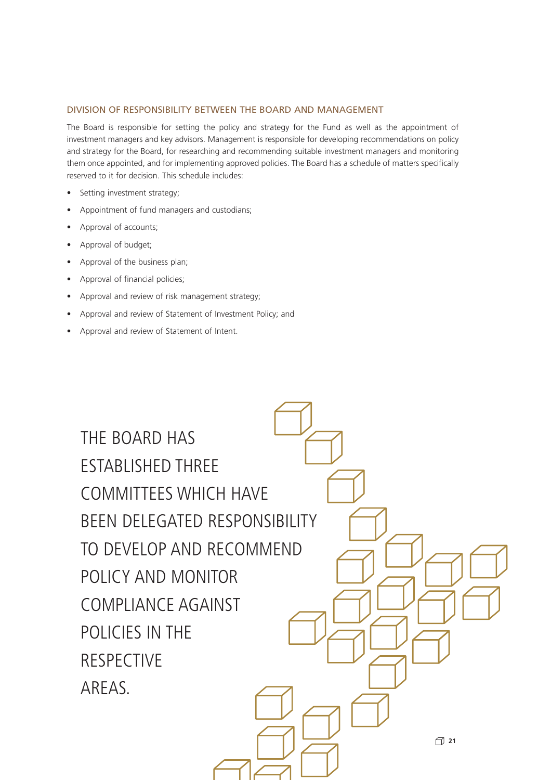#### DIVISION OF RESPONSIBILITY BETWEEN THE BOARD AND MANAGEMENT

The Board is responsible for setting the policy and strategy for the Fund as well as the appointment of investment managers and key advisors. Management is responsible for developing recommendations on policy and strategy for the Board, for researching and recommending suitable investment managers and monitoring them once appointed, and for implementing approved policies. The Board has a schedule of matters specifically reserved to it for decision. This schedule includes:

- Setting investment strategy;
- Appointment of fund managers and custodians;
- Approval of accounts;
- Approval of budget;
- Approval of the business plan;
- Approval of financial policies;
- Approval and review of risk management strategy;
- Approval and review of Statement of Investment Policy; and
- Approval and review of Statement of Intent.

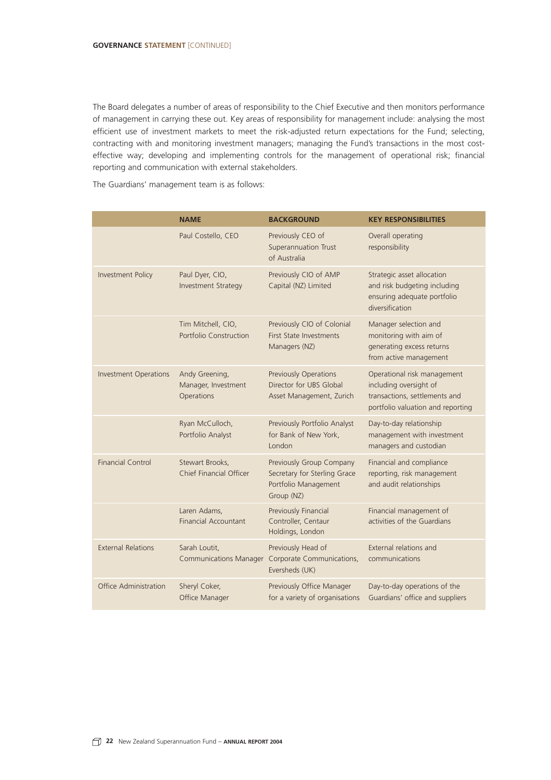The Board delegates a number of areas of responsibility to the Chief Executive and then monitors performance of management in carrying these out. Key areas of responsibility for management include: analysing the most efficient use of investment markets to meet the risk-adjusted return expectations for the Fund; selecting, contracting with and monitoring investment managers; managing the Fund's transactions in the most costeffective way; developing and implementing controls for the management of operational risk; financial reporting and communication with external stakeholders.

The Guardians' management team is as follows:

|                              | <b>NAME</b>                                         | <b>BACKGROUND</b>                                                                              | <b>KEY RESPONSIBILITIES</b>                                                                                                 |
|------------------------------|-----------------------------------------------------|------------------------------------------------------------------------------------------------|-----------------------------------------------------------------------------------------------------------------------------|
|                              | Paul Costello, CEO                                  | Previously CEO of<br>Superannuation Trust<br>of Australia                                      | Overall operating<br>responsibility                                                                                         |
| Investment Policy            | Paul Dyer, CIO,<br>Investment Strategy              | Previously CIO of AMP<br>Capital (NZ) Limited                                                  | Strategic asset allocation<br>and risk budgeting including<br>ensuring adequate portfolio<br>diversification                |
|                              | Tim Mitchell, CIO,<br>Portfolio Construction        | Previously CIO of Colonial<br><b>First State Investments</b><br>Managers (NZ)                  | Manager selection and<br>monitoring with aim of<br>generating excess returns<br>from active management                      |
| <b>Investment Operations</b> | Andy Greening,<br>Manager, Investment<br>Operations | <b>Previously Operations</b><br>Director for UBS Global<br>Asset Management, Zurich            | Operational risk management<br>including oversight of<br>transactions, settlements and<br>portfolio valuation and reporting |
|                              | Ryan McCulloch,<br>Portfolio Analyst                | Previously Portfolio Analyst<br>for Bank of New York,<br>London                                | Day-to-day relationship<br>management with investment<br>managers and custodian                                             |
| <b>Financial Control</b>     | Stewart Brooks,<br>Chief Financial Officer          | Previously Group Company<br>Secretary for Sterling Grace<br>Portfolio Management<br>Group (NZ) | Financial and compliance<br>reporting, risk management<br>and audit relationships                                           |
|                              | Laren Adams,<br><b>Financial Accountant</b>         | Previously Financial<br>Controller, Centaur<br>Holdings, London                                | Financial management of<br>activities of the Guardians                                                                      |
| <b>External Relations</b>    | Sarah Loutit,<br><b>Communications Manager</b>      | Previously Head of<br>Corporate Communications,<br>Eversheds (UK)                              | External relations and<br>communications                                                                                    |
| Office Administration        | Sheryl Coker,<br>Office Manager                     | Previously Office Manager<br>for a variety of organisations                                    | Day-to-day operations of the<br>Guardians' office and suppliers                                                             |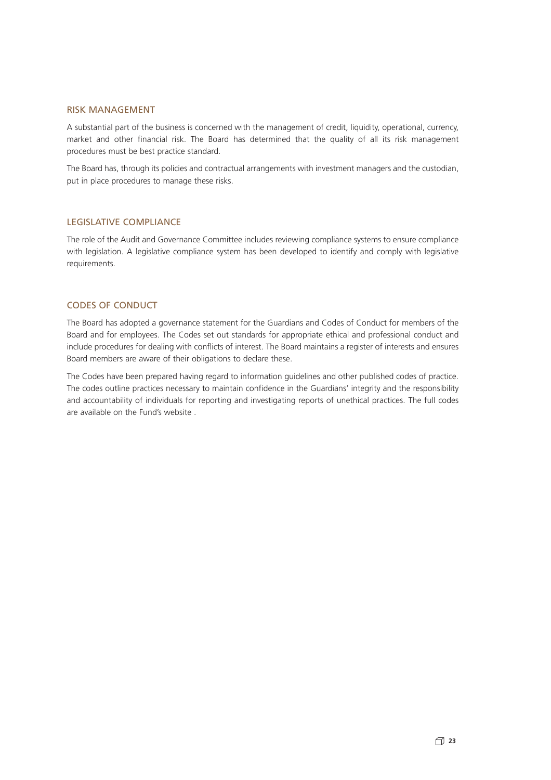#### RISK MANAGEMENT

A substantial part of the business is concerned with the management of credit, liquidity, operational, currency, market and other financial risk. The Board has determined that the quality of all its risk management procedures must be best practice standard.

The Board has, through its policies and contractual arrangements with investment managers and the custodian, put in place procedures to manage these risks.

#### LEGISLATIVE COMPLIANCE

The role of the Audit and Governance Committee includes reviewing compliance systems to ensure compliance with legislation. A legislative compliance system has been developed to identify and comply with legislative requirements.

#### CODES OF CONDUCT

The Board has adopted a governance statement for the Guardians and Codes of Conduct for members of the Board and for employees. The Codes set out standards for appropriate ethical and professional conduct and include procedures for dealing with conflicts of interest. The Board maintains a register of interests and ensures Board members are aware of their obligations to declare these.

The Codes have been prepared having regard to information guidelines and other published codes of practice. The codes outline practices necessary to maintain confidence in the Guardians' integrity and the responsibility and accountability of individuals for reporting and investigating reports of unethical practices. The full codes are available on the Fund's website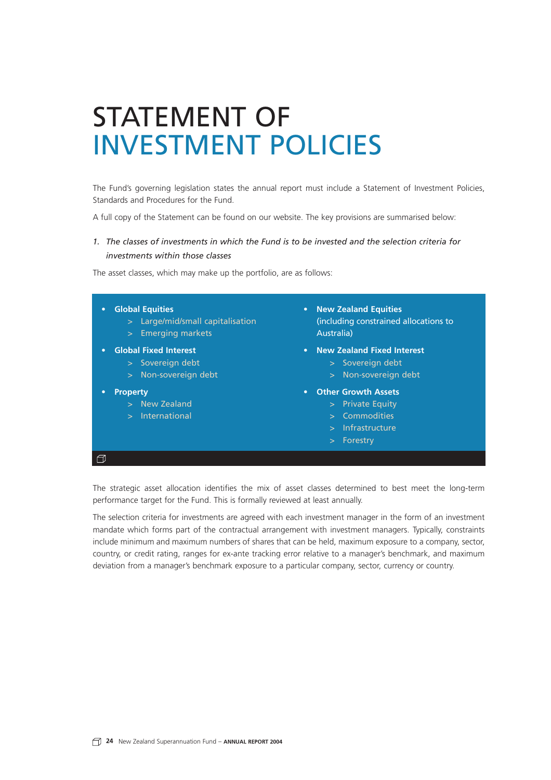# STATEMENT OF INVESTMENT POLICIES

The Fund's governing legislation states the annual report must include a Statement of Investment Policies, Standards and Procedures for the Fund.

A full copy of the Statement can be found on our website. The key provisions are summarised below:

#### *1. The classes of investments in which the Fund is to be invested and the selection criteria for investments within those classes*

The asset classes, which may make up the portfolio, are as follows:

- **Global Equities**
	- > Large/mid/small capitalisation
	- > Emerging markets
	- **• Global Fixed Interest**
		- > Sovereign debt
		- > Non-sovereign debt
- **Property**

 $\Box$ 

- > New Zealand
- > International
- **• New Zealand Equities** (including constrained allocations to Australia)
- **• New Zealand Fixed Interest**
	- > Sovereign debt
	- > Non-sovereign debt
- **• Other Growth Assets**
	- > Private Equity
	- > Commodities
	- > Infrastructure
	- > Forestry

The strategic asset allocation identifies the mix of asset classes determined to best meet the long-term performance target for the Fund. This is formally reviewed at least annually.

The selection criteria for investments are agreed with each investment manager in the form of an investment mandate which forms part of the contractual arrangement with investment managers. Typically, constraints include minimum and maximum numbers of shares that can be held, maximum exposure to a company, sector, country, or credit rating, ranges for ex-ante tracking error relative to a manager's benchmark, and maximum deviation from a manager's benchmark exposure to a particular company, sector, currency or country.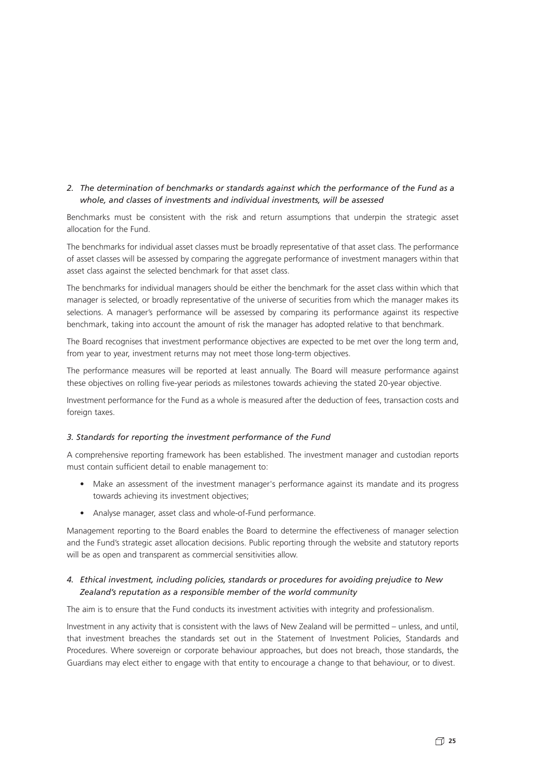#### *2. The determination of benchmarks or standards against which the performance of the Fund as a whole, and classes of investments and individual investments, will be assessed*

Benchmarks must be consistent with the risk and return assumptions that underpin the strategic asset allocation for the Fund.

The benchmarks for individual asset classes must be broadly representative of that asset class. The performance of asset classes will be assessed by comparing the aggregate performance of investment managers within that asset class against the selected benchmark for that asset class.

The benchmarks for individual managers should be either the benchmark for the asset class within which that manager is selected, or broadly representative of the universe of securities from which the manager makes its selections. A manager's performance will be assessed by comparing its performance against its respective benchmark, taking into account the amount of risk the manager has adopted relative to that benchmark.

The Board recognises that investment performance objectives are expected to be met over the long term and, from year to year, investment returns may not meet those long-term objectives.

The performance measures will be reported at least annually. The Board will measure performance against these objectives on rolling five-year periods as milestones towards achieving the stated 20-year objective.

Investment performance for the Fund as a whole is measured after the deduction of fees, transaction costs and foreign taxes.

#### *3. Standards for reporting the investment performance of the Fund*

A comprehensive reporting framework has been established. The investment manager and custodian reports must contain sufficient detail to enable management to:

- Make an assessment of the investment manager's performance against its mandate and its progress towards achieving its investment objectives;
- Analyse manager, asset class and whole-of-Fund performance.

Management reporting to the Board enables the Board to determine the effectiveness of manager selection and the Fund's strategic asset allocation decisions. Public reporting through the website and statutory reports will be as open and transparent as commercial sensitivities allow.

#### *4. Ethical investment, including policies, standards or procedures for avoiding prejudice to New Zealand's reputation as a responsible member of the world community*

The aim is to ensure that the Fund conducts its investment activities with integrity and professionalism.

Investment in any activity that is consistent with the laws of New Zealand will be permitted – unless, and until, that investment breaches the standards set out in the Statement of Investment Policies, Standards and Procedures. Where sovereign or corporate behaviour approaches, but does not breach, those standards, the Guardians may elect either to engage with that entity to encourage a change to that behaviour, or to divest.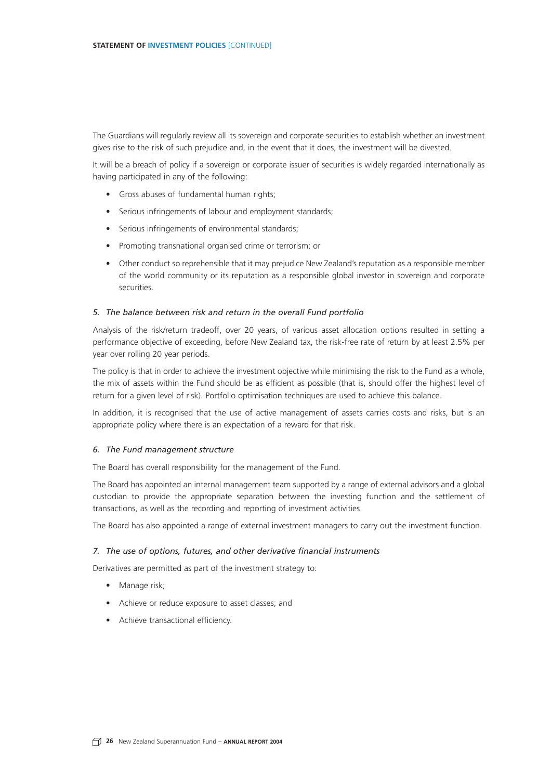The Guardians will regularly review all its sovereign and corporate securities to establish whether an investment gives rise to the risk of such prejudice and, in the event that it does, the investment will be divested.

It will be a breach of policy if a sovereign or corporate issuer of securities is widely regarded internationally as having participated in any of the following:

- Gross abuses of fundamental human rights;
- Serious infringements of labour and employment standards;
- Serious infringements of environmental standards;
- Promoting transnational organised crime or terrorism; or
- Other conduct so reprehensible that it may prejudice New Zealand's reputation as a responsible member of the world community or its reputation as a responsible global investor in sovereign and corporate securities.

#### *5. The balance between risk and return in the overall Fund portfolio*

Analysis of the risk/return tradeoff, over 20 years, of various asset allocation options resulted in setting a performance objective of exceeding, before New Zealand tax, the risk-free rate of return by at least 2.5% per year over rolling 20 year periods.

The policy is that in order to achieve the investment objective while minimising the risk to the Fund as a whole, the mix of assets within the Fund should be as efficient as possible (that is, should offer the highest level of return for a given level of risk). Portfolio optimisation techniques are used to achieve this balance.

In addition, it is recognised that the use of active management of assets carries costs and risks, but is an appropriate policy where there is an expectation of a reward for that risk.

#### *6. The Fund management structure*

The Board has overall responsibility for the management of the Fund.

The Board has appointed an internal management team supported by a range of external advisors and a global custodian to provide the appropriate separation between the investing function and the settlement of transactions, as well as the recording and reporting of investment activities.

The Board has also appointed a range of external investment managers to carry out the investment function.

#### *7. The use of options, futures, and other derivative financial instruments*

Derivatives are permitted as part of the investment strategy to:

- Manage risk:
- Achieve or reduce exposure to asset classes; and
- Achieve transactional efficiency.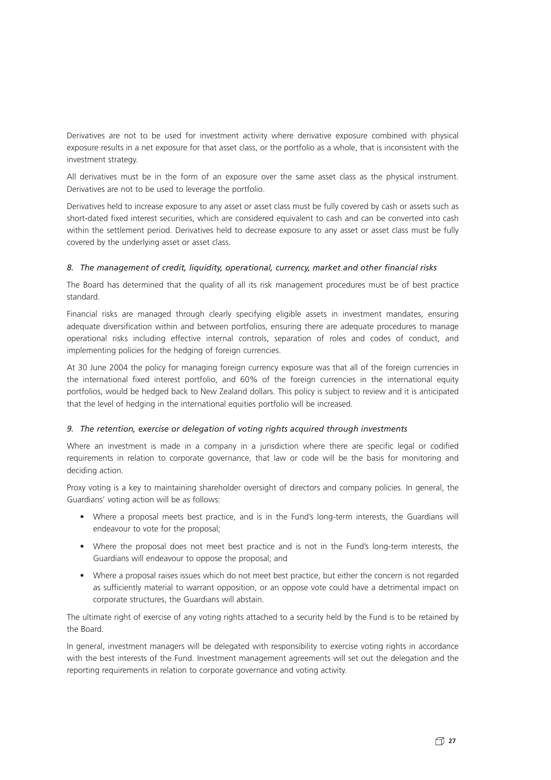Derivatives are not to be used for investment activity where derivative exposure combined with physical exposure results in a net exposure for that asset class, or the portfolio as a whole, that is inconsistent with the investment strategy.

All derivatives must be in the form of an exposure over the same asset class as the physical instrument. Derivatives are not to be used to leverage the portfolio.

Derivatives held to increase exposure to any asset or asset class must be fully covered by cash or assets such as short-dated fixed interest securities, which are considered equivalent to cash and can be converted into cash within the settlement period. Derivatives held to decrease exposure to any asset or asset class must be fully covered by the underlying asset or asset class.

#### *8. The management of credit, liquidity, operational, currency, market and other financial risks*

The Board has determined that the quality of all its risk management procedures must be of best practice standard.

Financial risks are managed through clearly specifying eligible assets in investment mandates, ensuring adequate diversification within and between portfolios, ensuring there are adequate procedures to manage operational risks including effective internal controls, separation of roles and codes of conduct, and implementing policies for the hedging of foreign currencies.

At 30 June 2004 the policy for managing foreign currency exposure was that all of the foreign currencies in the international fixed interest portfolio, and 60% of the foreign currencies in the international equity portfolios, would be hedged back to New Zealand dollars. This policy is subject to review and it is anticipated that the level of hedging in the international equities portfolio will be increased.

#### *9. The retention, exercise or delegation of voting rights acquired through investments*

Where an investment is made in a company in a jurisdiction where there are specific legal or codified requirements in relation to corporate governance, that law or code will be the basis for monitoring and deciding action.

Proxy voting is a key to maintaining shareholder oversight of directors and company policies. In general, the Guardians' voting action will be as follows:

- Where a proposal meets best practice, and is in the Fund's long-term interests, the Guardians will endeavour to vote for the proposal;
- Where the proposal does not meet best practice and is not in the Fund's long-term interests, the Guardians will endeavour to oppose the proposal; and
- Where a proposal raises issues which do not meet best practice, but either the concern is not regarded as sufficiently material to warrant opposition, or an oppose vote could have a detrimental impact on corporate structures, the Guardians will abstain.

The ultimate right of exercise of any voting rights attached to a security held by the Fund is to be retained by the Board.

In general, investment managers will be delegated with responsibility to exercise voting rights in accordance with the best interests of the Fund. Investment management agreements will set out the delegation and the reporting requirements in relation to corporate governance and voting activity.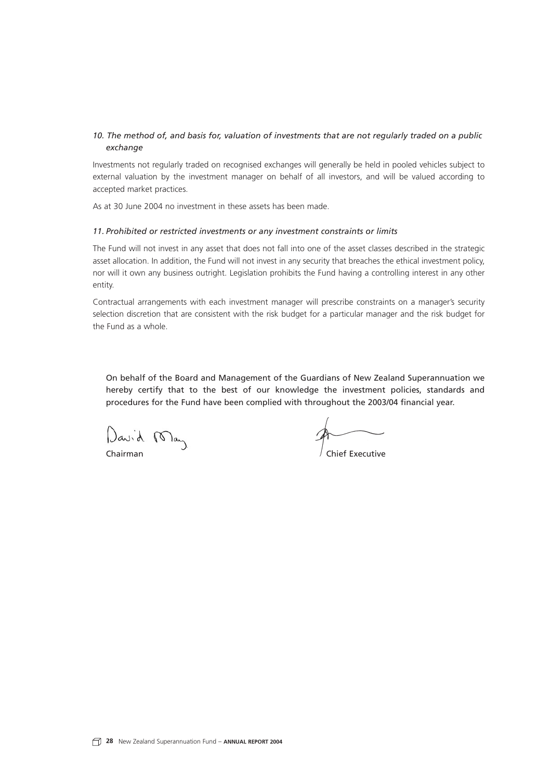#### *10. The method of, and basis for, valuation of investments that are not regularly traded on a public exchange*

Investments not regularly traded on recognised exchanges will generally be held in pooled vehicles subject to external valuation by the investment manager on behalf of all investors, and will be valued according to accepted market practices.

As at 30 June 2004 no investment in these assets has been made.

#### *11. Prohibited or restricted investments or any investment constraints or limits*

The Fund will not invest in any asset that does not fall into one of the asset classes described in the strategic asset allocation. In addition, the Fund will not invest in any security that breaches the ethical investment policy, nor will it own any business outright. Legislation prohibits the Fund having a controlling interest in any other entity.

Contractual arrangements with each investment manager will prescribe constraints on a manager's security selection discretion that are consistent with the risk budget for a particular manager and the risk budget for the Fund as a whole.

On behalf of the Board and Management of the Guardians of New Zealand Superannuation we hereby certify that to the best of our knowledge the investment policies, standards and procedures for the Fund have been complied with throughout the 2003/04 financial year.

David May

Chairman Chairman Chairman Chairman Chairman Chairman Chairman Chairman Chairman Chairman Chairman Chairman Ch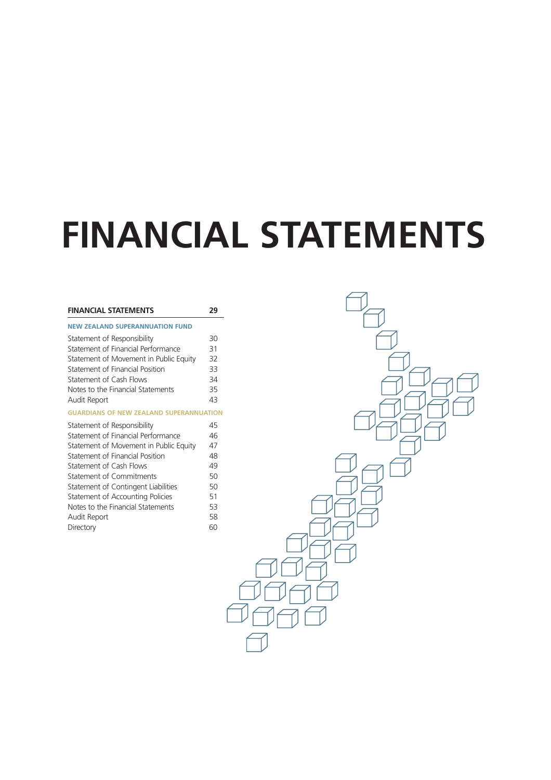# **FINANCIAL STATEMENTS**

| <b>FINANCIAL STATEMENTS</b>                    | 29 |
|------------------------------------------------|----|
| <b>NEW ZEALAND SUPERANNUATION FUND</b>         |    |
| Statement of Responsibility                    | 30 |
| Statement of Financial Performance             | 31 |
| Statement of Movement in Public Equity         | 32 |
| Statement of Financial Position                | 33 |
| <b>Statement of Cash Flows</b>                 | 34 |
| Notes to the Financial Statements              | 35 |
| Audit Report                                   | 43 |
| <b>GUARDIANS OF NEW ZEALAND SUPERANNUATION</b> |    |
| Statement of Responsibility                    | 45 |
| Statement of Financial Performance             | 46 |
| Statement of Movement in Public Equity         | 47 |
| Statement of Financial Position                | 48 |
| Statement of Cash Flows                        | 49 |
| <b>Statement of Commitments</b>                | 50 |
| Statement of Contingent Liabilities            | 50 |
| Statement of Accounting Policies               | 51 |
| Notes to the Financial Statements              | 53 |
| Audit Report                                   | 58 |
| Directory                                      | 60 |

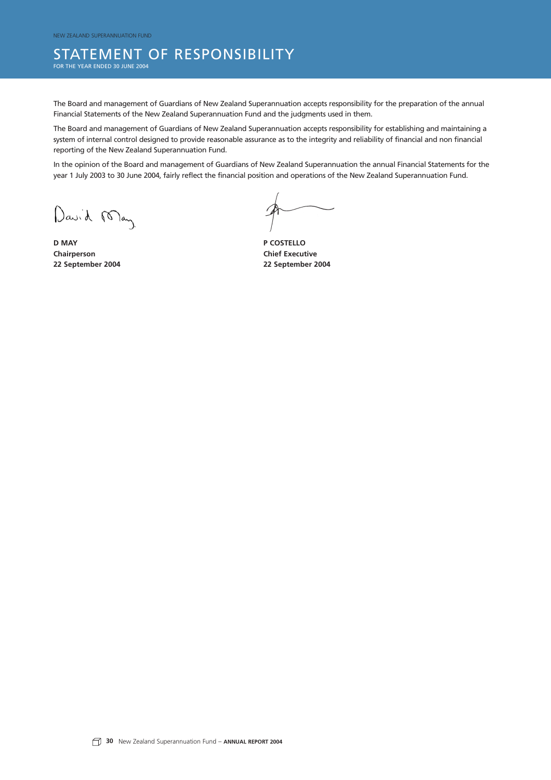### STATEMENT OF RESPONSIBILITY

FOR THE YEAR ENDED 30 JUNE 2004

The Board and management of Guardians of New Zealand Superannuation accepts responsibility for the preparation of the annual Financial Statements of the New Zealand Superannuation Fund and the judgments used in them.

The Board and management of Guardians of New Zealand Superannuation accepts responsibility for establishing and maintaining a system of internal control designed to provide reasonable assurance as to the integrity and reliability of financial and non financial reporting of the New Zealand Superannuation Fund.

In the opinion of the Board and management of Guardians of New Zealand Superannuation the annual Financial Statements for the year 1 July 2003 to 30 June 2004, fairly reflect the financial position and operations of the New Zealand Superannuation Fund.

David May

**D MAY P COSTELLO Chairperson Chairperson Chief Executive 22 September 2004 22 September 2004**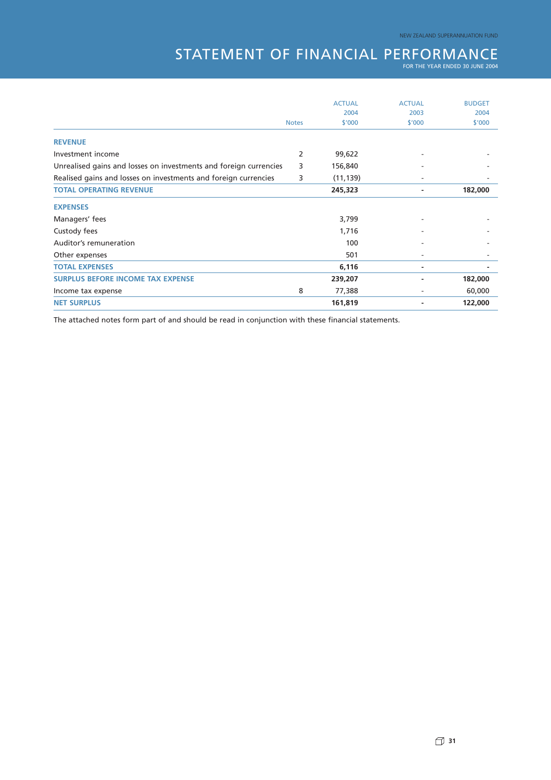## STATEMENT OF FINANCIAL PERFORMANCE

|                                                                   |              | <b>ACTUAL</b> | <b>ACTUAL</b> | <b>BUDGET</b> |
|-------------------------------------------------------------------|--------------|---------------|---------------|---------------|
|                                                                   |              | 2004          | 2003          | 2004          |
|                                                                   | <b>Notes</b> | \$'000        | \$'000        | \$'000        |
| <b>REVENUE</b>                                                    |              |               |               |               |
| Investment income                                                 | 2            | 99,622        |               |               |
| Unrealised gains and losses on investments and foreign currencies | 3            | 156,840       |               |               |
| Realised gains and losses on investments and foreign currencies   | 3            | (11, 139)     |               |               |
| <b>TOTAL OPERATING REVENUE</b>                                    |              | 245,323       | ٠             | 182,000       |
| <b>EXPENSES</b>                                                   |              |               |               |               |
| Managers' fees                                                    |              | 3,799         |               |               |
| Custody fees                                                      |              | 1,716         |               |               |
| Auditor's remuneration                                            |              | 100           | ۰             |               |
| Other expenses                                                    |              | 501           | ٠             |               |
| <b>TOTAL EXPENSES</b>                                             |              | 6,116         | ۰             |               |
| <b>SURPLUS BEFORE INCOME TAX EXPENSE</b>                          |              | 239,207       |               | 182,000       |
| Income tax expense                                                | 8            | 77,388        |               | 60,000        |
| <b>NET SURPLUS</b>                                                |              | 161,819       |               | 122,000       |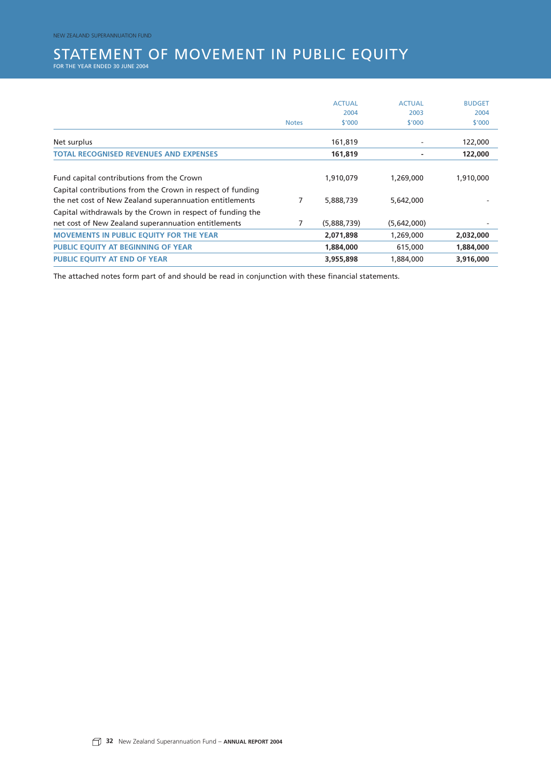## STATEMENT OF MOVEMENT IN PUBLIC EQUITY<br>for the year ended 30 june 2004

|                                                                                                                       |              | <b>ACTUAL</b> | <b>ACTUAL</b> | <b>BUDGET</b> |
|-----------------------------------------------------------------------------------------------------------------------|--------------|---------------|---------------|---------------|
|                                                                                                                       |              | 2004          | 2003          | 2004          |
|                                                                                                                       | <b>Notes</b> | \$'000        | \$'000        | \$'000        |
| Net surplus                                                                                                           |              | 161,819       |               | 122,000       |
| <b>TOTAL RECOGNISED REVENUES AND EXPENSES</b>                                                                         |              | 161,819       |               | 122,000       |
| Fund capital contributions from the Crown                                                                             |              | 1,910,079     | 1,269,000     | 1,910,000     |
| Capital contributions from the Crown in respect of funding<br>the net cost of New Zealand superannuation entitlements | 7            | 5,888,739     | 5,642,000     |               |
| Capital withdrawals by the Crown in respect of funding the<br>net cost of New Zealand superannuation entitlements     | 7            | (5,888,739)   | (5,642,000)   |               |
| <b>MOVEMENTS IN PUBLIC EQUITY FOR THE YEAR</b>                                                                        |              | 2,071,898     | 1,269,000     | 2,032,000     |
| PUBLIC EQUITY AT BEGINNING OF YEAR                                                                                    |              | 1,884,000     | 615,000       | 1,884,000     |
| <b>PUBLIC EQUITY AT END OF YEAR</b>                                                                                   |              | 3,955,898     | 1,884,000     | 3,916,000     |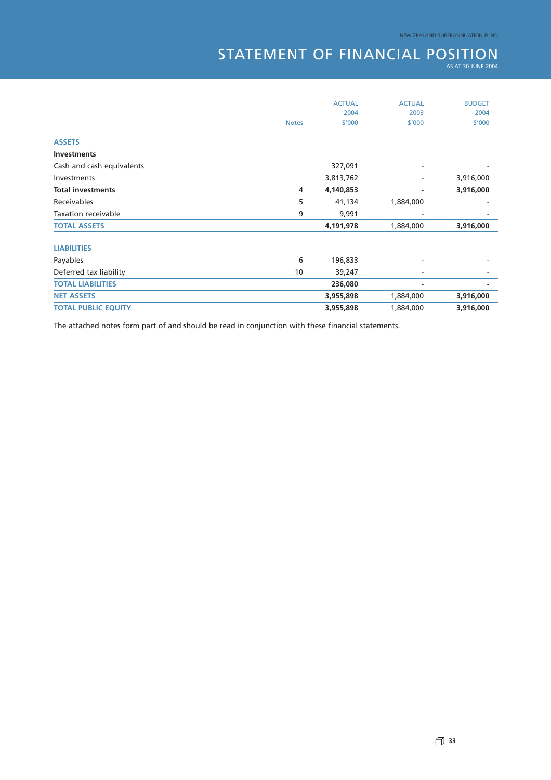## STATEMENT OF FINANCIAL POSITION

|                            |              | <b>ACTUAL</b> | <b>ACTUAL</b> | <b>BUDGET</b><br>2004 |
|----------------------------|--------------|---------------|---------------|-----------------------|
|                            |              | 2004          | 2003          |                       |
|                            | <b>Notes</b> | \$'000        | \$'000        | \$'000                |
| <b>ASSETS</b>              |              |               |               |                       |
| <b>Investments</b>         |              |               |               |                       |
| Cash and cash equivalents  |              | 327,091       |               |                       |
| Investments                |              | 3,813,762     | ۰             | 3,916,000             |
| <b>Total investments</b>   | 4            | 4,140,853     |               | 3,916,000             |
| Receivables                | 5            | 41,134        | 1,884,000     |                       |
| <b>Taxation receivable</b> | 9            | 9,991         |               |                       |
| <b>TOTAL ASSETS</b>        |              | 4,191,978     | 1,884,000     | 3,916,000             |
| <b>LIABILITIES</b>         |              |               |               |                       |
| Payables                   | 6            | 196,833       |               |                       |
| Deferred tax liability     | 10           | 39,247        |               |                       |
| <b>TOTAL LIABILITIES</b>   |              | 236,080       | ۰             | -                     |
| <b>NET ASSETS</b>          |              | 3,955,898     | 1,884,000     | 3,916,000             |
| <b>TOTAL PUBLIC EQUITY</b> |              | 3,955,898     | 1,884,000     | 3,916,000             |
|                            |              |               |               |                       |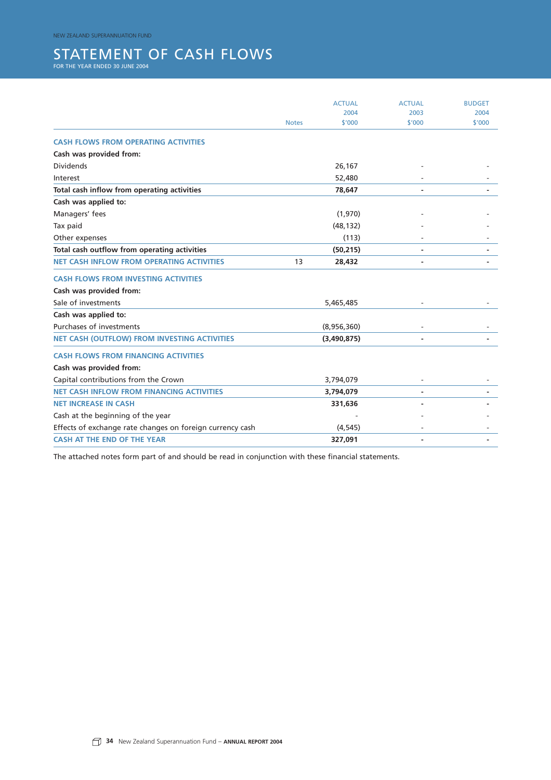NEW ZEALAND SUPERANNUATION FUND

## STATEMENT OF CASH FLOWS FOR THE YEAR ENDED 30 JUNE 2004

|                                                           |              | <b>ACTUAL</b> | <b>ACTUAL</b> | <b>BUDGET</b> |
|-----------------------------------------------------------|--------------|---------------|---------------|---------------|
|                                                           |              | 2004          | 2003          | 2004          |
|                                                           | <b>Notes</b> | \$'000        | \$'000        | \$'000        |
| <b>CASH FLOWS FROM OPERATING ACTIVITIES</b>               |              |               |               |               |
| Cash was provided from:                                   |              |               |               |               |
| <b>Dividends</b>                                          |              | 26,167        |               |               |
| Interest                                                  |              | 52,480        |               |               |
| Total cash inflow from operating activities               |              | 78,647        |               |               |
| Cash was applied to:                                      |              |               |               |               |
| Managers' fees                                            |              | (1,970)       |               |               |
| Tax paid                                                  |              | (48, 132)     |               |               |
| Other expenses                                            |              | (113)         |               |               |
| Total cash outflow from operating activities              |              | (50, 215)     |               |               |
| <b>NET CASH INFLOW FROM OPERATING ACTIVITIES</b>          | 13           | 28,432        |               |               |
| <b>CASH FLOWS FROM INVESTING ACTIVITIES</b>               |              |               |               |               |
| Cash was provided from:                                   |              |               |               |               |
| Sale of investments                                       |              | 5,465,485     |               |               |
| Cash was applied to:                                      |              |               |               |               |
| Purchases of investments                                  |              | (8,956,360)   |               |               |
| <b>NET CASH (OUTFLOW) FROM INVESTING ACTIVITIES</b>       |              | (3,490,875)   |               |               |
| <b>CASH FLOWS FROM FINANCING ACTIVITIES</b>               |              |               |               |               |
| Cash was provided from:                                   |              |               |               |               |
| Capital contributions from the Crown                      |              | 3,794,079     |               |               |
| <b>NET CASH INFLOW FROM FINANCING ACTIVITIES</b>          |              | 3,794,079     |               |               |
| <b>NET INCREASE IN CASH</b>                               |              | 331,636       |               |               |
| Cash at the beginning of the year                         |              |               |               |               |
| Effects of exchange rate changes on foreign currency cash |              | (4, 545)      |               |               |
| <b>CASH AT THE END OF THE YEAR</b>                        |              | 327,091       |               |               |
|                                                           |              |               |               |               |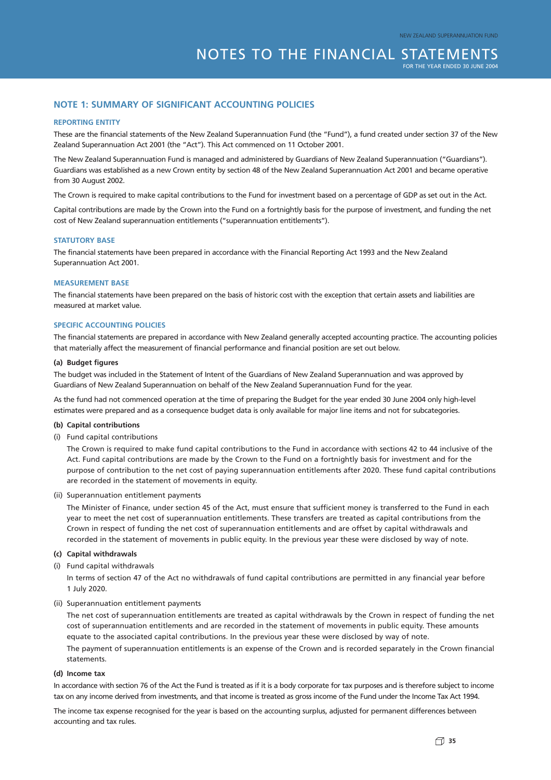#### **NOTE 1: SUMMARY OF SIGNIFICANT ACCOUNTING POLICIES**

#### **REPORTING ENTITY**

These are the financial statements of the New Zealand Superannuation Fund (the "Fund"), a fund created under section 37 of the New Zealand Superannuation Act 2001 (the "Act"). This Act commenced on 11 October 2001.

The New Zealand Superannuation Fund is managed and administered by Guardians of New Zealand Superannuation ("Guardians"). Guardians was established as a new Crown entity by section 48 of the New Zealand Superannuation Act 2001 and became operative from 30 August 2002.

The Crown is required to make capital contributions to the Fund for investment based on a percentage of GDP as set out in the Act.

Capital contributions are made by the Crown into the Fund on a fortnightly basis for the purpose of investment, and funding the net cost of New Zealand superannuation entitlements ("superannuation entitlements").

#### **STATUTORY BASE**

The financial statements have been prepared in accordance with the Financial Reporting Act 1993 and the New Zealand Superannuation Act 2001.

#### **MEASUREMENT BASE**

The financial statements have been prepared on the basis of historic cost with the exception that certain assets and liabilities are measured at market value.

#### **SPECIFIC ACCOUNTING POLICIES**

The financial statements are prepared in accordance with New Zealand generally accepted accounting practice. The accounting policies that materially affect the measurement of financial performance and financial position are set out below.

#### **(a) Budget figures**

The budget was included in the Statement of Intent of the Guardians of New Zealand Superannuation and was approved by Guardians of New Zealand Superannuation on behalf of the New Zealand Superannuation Fund for the year.

As the fund had not commenced operation at the time of preparing the Budget for the year ended 30 June 2004 only high-level estimates were prepared and as a consequence budget data is only available for major line items and not for subcategories.

#### **(b) Capital contributions**

(i) Fund capital contributions

The Crown is required to make fund capital contributions to the Fund in accordance with sections 42 to 44 inclusive of the Act. Fund capital contributions are made by the Crown to the Fund on a fortnightly basis for investment and for the purpose of contribution to the net cost of paying superannuation entitlements after 2020. These fund capital contributions are recorded in the statement of movements in equity.

(ii) Superannuation entitlement payments

The Minister of Finance, under section 45 of the Act, must ensure that sufficient money is transferred to the Fund in each year to meet the net cost of superannuation entitlements. These transfers are treated as capital contributions from the Crown in respect of funding the net cost of superannuation entitlements and are offset by capital withdrawals and recorded in the statement of movements in public equity. In the previous year these were disclosed by way of note.

#### **(c) Capital withdrawals**

(i) Fund capital withdrawals

In terms of section 47 of the Act no withdrawals of fund capital contributions are permitted in any financial year before 1 July 2020.

#### (ii) Superannuation entitlement payments

The net cost of superannuation entitlements are treated as capital withdrawals by the Crown in respect of funding the net cost of superannuation entitlements and are recorded in the statement of movements in public equity. These amounts equate to the associated capital contributions. In the previous year these were disclosed by way of note. The payment of superannuation entitlements is an expense of the Crown and is recorded separately in the Crown financial statements.

#### **(d) Income tax**

In accordance with section 76 of the Act the Fund is treated as if it is a body corporate for tax purposes and is therefore subject to income tax on any income derived from investments, and that income is treated as gross income of the Fund under the Income Tax Act 1994.

The income tax expense recognised for the year is based on the accounting surplus, adjusted for permanent differences between accounting and tax rules.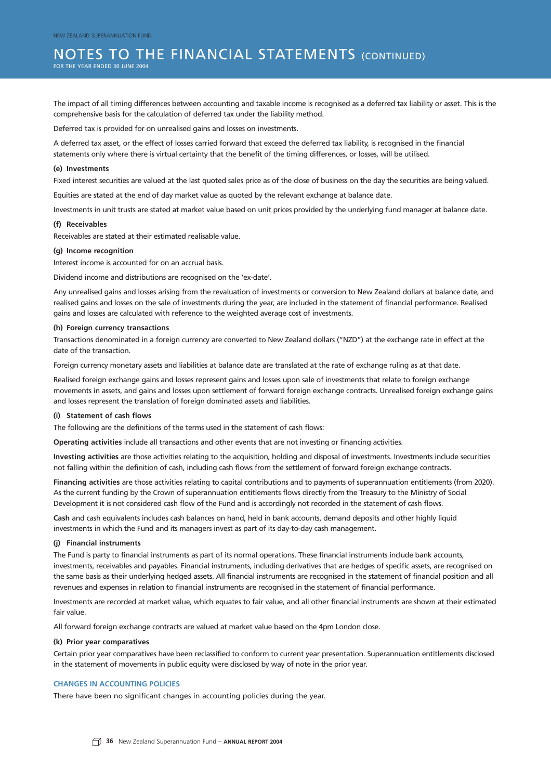### NOTES TO THE FINANCIAL STATEMENTS (CONTINUED)

FOR THE YEAR ENDED 30 JUNE 2004

The impact of all timing differences between accounting and taxable income is recognised as a deferred tax liability or asset. This is the comprehensive basis for the calculation of deferred tax under the liability method.

Deferred tax is provided for on unrealised gains and losses on investments.

A deferred tax asset, or the effect of losses carried forward that exceed the deferred tax liability, is recognised in the financial statements only where there is virtual certainty that the benefit of the timing differences, or losses, will be utilised.

#### **(e) Investments**

Fixed interest securities are valued at the last quoted sales price as of the close of business on the day the securities are being valued.

Equities are stated at the end of day market value as quoted by the relevant exchange at balance date.

Investments in unit trusts are stated at market value based on unit prices provided by the underlying fund manager at balance date.

#### **(f) Receivables**

Receivables are stated at their estimated realisable value.

#### **(g) Income recognition**

Interest income is accounted for on an accrual basis.

Dividend income and distributions are recognised on the 'ex-date'.

Any unrealised gains and losses arising from the revaluation of investments or conversion to New Zealand dollars at balance date, and realised gains and losses on the sale of investments during the year, are included in the statement of financial performance. Realised gains and losses are calculated with reference to the weighted average cost of investments.

#### **(h) Foreign currency transactions**

Transactions denominated in a foreign currency are converted to New Zealand dollars ("NZD") at the exchange rate in effect at the date of the transaction.

Foreign currency monetary assets and liabilities at balance date are translated at the rate of exchange ruling as at that date.

Realised foreign exchange gains and losses represent gains and losses upon sale of investments that relate to foreign exchange movements in assets, and gains and losses upon settlement of forward foreign exchange contracts. Unrealised foreign exchange gains and losses represent the translation of foreign dominated assets and liabilities.

#### **(i) Statement of cash flows**

The following are the definitions of the terms used in the statement of cash flows:

**Operating activities** include all transactions and other events that are not investing or financing activities.

**Investing activities** are those activities relating to the acquisition, holding and disposal of investments. Investments include securities not falling within the definition of cash, including cash flows from the settlement of forward foreign exchange contracts.

**Financing activities** are those activities relating to capital contributions and to payments of superannuation entitlements (from 2020). As the current funding by the Crown of superannuation entitlements flows directly from the Treasury to the Ministry of Social Development it is not considered cash flow of the Fund and is accordingly not recorded in the statement of cash flows.

**Cash** and cash equivalents includes cash balances on hand, held in bank accounts, demand deposits and other highly liquid investments in which the Fund and its managers invest as part of its day-to-day cash management.

#### **(j) Financial instruments**

The Fund is party to financial instruments as part of its normal operations. These financial instruments include bank accounts, investments, receivables and payables. Financial instruments, including derivatives that are hedges of specific assets, are recognised on the same basis as their underlying hedged assets. All financial instruments are recognised in the statement of financial position and all revenues and expenses in relation to financial instruments are recognised in the statement of financial performance.

Investments are recorded at market value, which equates to fair value, and all other financial instruments are shown at their estimated fair value.

All forward foreign exchange contracts are valued at market value based on the 4pm London close.

#### **(k) Prior year comparatives**

Certain prior year comparatives have been reclassified to conform to current year presentation. Superannuation entitlements disclosed in the statement of movements in public equity were disclosed by way of note in the prior year.

#### **CHANGES IN ACCOUNTING POLICIES**

There have been no significant changes in accounting policies during the year.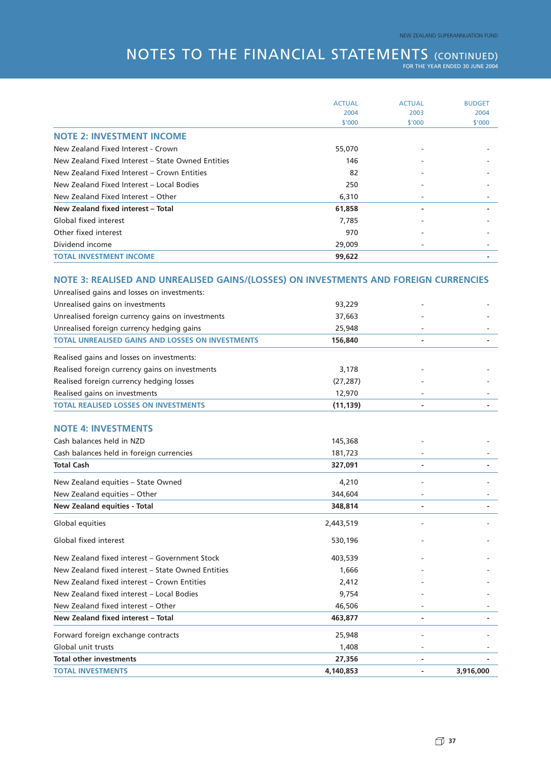## NOTES TO THE FINANCIAL STATEMENTS (CONTINUED) FOR THE YEAR ENDED 30 JUNE 2004

|                                                                                      | <b>ACTUAL</b>    | <b>ACTUAL</b>  | <b>BUDGET</b> |
|--------------------------------------------------------------------------------------|------------------|----------------|---------------|
|                                                                                      | 2004             | 2003           | 2004          |
|                                                                                      | \$'000           | \$'000         | \$'000        |
| <b>NOTE 2: INVESTMENT INCOME</b>                                                     |                  |                |               |
| New Zealand Fixed Interest - Crown                                                   | 55,070           |                |               |
| New Zealand Fixed Interest – State Owned Entities                                    | 146              |                |               |
| New Zealand Fixed Interest - Crown Entities                                          | 82               |                |               |
| New Zealand Fixed Interest - Local Bodies                                            | 250              |                |               |
| New Zealand Fixed Interest - Other                                                   | 6,310            |                |               |
| New Zealand fixed interest - Total                                                   | 61,858           |                |               |
| Global fixed interest                                                                | 7,785            |                |               |
| Other fixed interest                                                                 | 970              |                |               |
| Dividend income                                                                      | 29,009           |                |               |
| <b>TOTAL INVESTMENT INCOME</b>                                                       | 99,622           |                |               |
| NOTE 3: REALISED AND UNREALISED GAINS/(LOSSES) ON INVESTMENTS AND FOREIGN CURRENCIES |                  |                |               |
| Unrealised gains and losses on investments:                                          |                  |                |               |
| Unrealised gains on investments                                                      | 93,229           |                |               |
| Unrealised foreign currency gains on investments                                     | 37,663           |                |               |
| Unrealised foreign currency hedging gains                                            | 25,948           |                |               |
| <b>TOTAL UNREALISED GAINS AND LOSSES ON INVESTMENTS</b>                              | 156,840          |                |               |
|                                                                                      |                  |                |               |
| Realised gains and losses on investments:                                            |                  |                |               |
| Realised foreign currency gains on investments                                       | 3,178            |                |               |
| Realised foreign currency hedging losses                                             | (27, 287)        |                |               |
| Realised gains on investments                                                        | 12,970           |                |               |
| <b>TOTAL REALISED LOSSES ON INVESTMENTS</b>                                          | (11, 139)        | $\blacksquare$ |               |
| <b>NOTE 4: INVESTMENTS</b>                                                           |                  |                |               |
| Cash balances held in NZD                                                            | 145,368          |                |               |
| Cash balances held in foreign currencies                                             | 181,723          |                |               |
| <b>Total Cash</b>                                                                    | 327,091          |                |               |
|                                                                                      |                  |                |               |
| New Zealand equities - State Owned<br>New Zealand equities - Other                   | 4,210<br>344,604 |                |               |
| <b>New Zealand equities - Total</b>                                                  | 348,814          |                |               |
|                                                                                      |                  |                |               |
| Global equities                                                                      | 2,443,519        |                |               |
| Global fixed interest                                                                | 530,196          |                |               |
| New Zealand fixed interest - Government Stock                                        | 403,539          |                |               |
| New Zealand fixed interest – State Owned Entities                                    | 1,666            |                |               |
| New Zealand fixed interest - Crown Entities                                          | 2,412            |                |               |
| New Zealand fixed interest - Local Bodies                                            | 9,754            |                |               |
| New Zealand fixed interest - Other                                                   | 46,506           |                |               |
| New Zealand fixed interest - Total                                                   | 463,877          |                |               |
| Forward foreign exchange contracts                                                   | 25,948           |                |               |
| Global unit trusts                                                                   | 1,408            |                |               |
| <b>Total other investments</b>                                                       | 27,356           |                |               |
| <b>TOTAL INVESTMENTS</b>                                                             | 4,140,853        |                | 3,916,000     |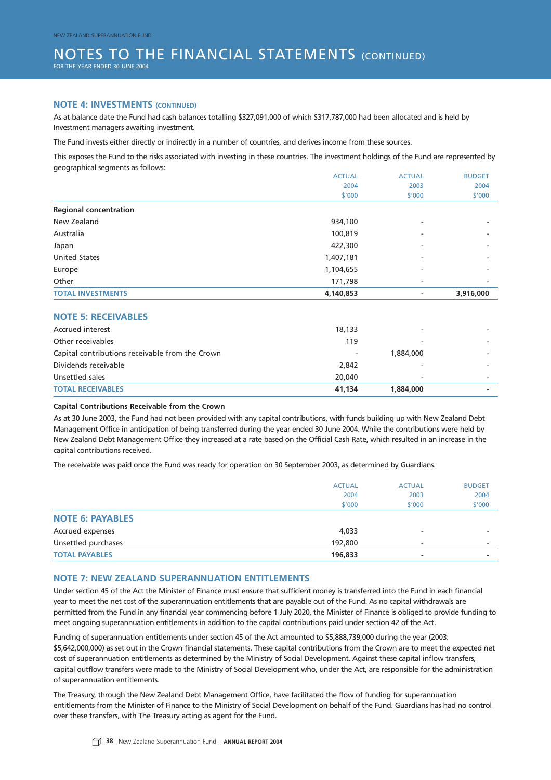#### NOTES TO THE FINANCIAL STATEMENTS (CONTINUED) FOR THE YEAR ENDED 30 JUNE 2004

#### **NOTE 4: INVESTMENTS (CONTINUED)**

As at balance date the Fund had cash balances totalling \$327,091,000 of which \$317,787,000 had been allocated and is held by Investment managers awaiting investment.

The Fund invests either directly or indirectly in a number of countries, and derives income from these sources.

This exposes the Fund to the risks associated with investing in these countries. The investment holdings of the Fund are represented by geographical segments as follows:

| <b>TOTAL INVESTMENTS</b>      | 4,140,853     |                          | 3,916,000     |
|-------------------------------|---------------|--------------------------|---------------|
| Other                         | 171,798       | ۰                        | ۰             |
| Europe                        | 1,104,655     | ۰                        | ۰             |
| <b>United States</b>          | 1,407,181     | ۰                        |               |
| Japan                         | 422,300       | ۰                        | -             |
| Australia                     | 100,819       | ۰                        | -             |
| New Zealand                   | 934,100       | $\overline{\phantom{a}}$ | ۰             |
| <b>Regional concentration</b> |               |                          |               |
|                               | \$'000        | \$'000                   | \$'000        |
|                               | 2004          | 2003                     | 2004          |
|                               | <b>ACTUAL</b> | <b>ACTUAL</b>            | <b>BUDGET</b> |

#### **NOTE 5: RECEIVABLES**

| <b>TOTAL RECEIVABLES</b>                        | 41.134 | 1,884,000                |  |
|-------------------------------------------------|--------|--------------------------|--|
| Unsettled sales                                 | 20,040 | -                        |  |
| Dividends receivable                            | 2,842  |                          |  |
| Capital contributions receivable from the Crown | ۰      | 1,884,000                |  |
| Other receivables                               | 119    |                          |  |
| <b>Accrued interest</b>                         | 18,133 | $\overline{\phantom{a}}$ |  |
| ___________________________________             |        |                          |  |

#### **Capital Contributions Receivable from the Crown**

As at 30 June 2003, the Fund had not been provided with any capital contributions, with funds building up with New Zealand Debt Management Office in anticipation of being transferred during the year ended 30 June 2004. While the contributions were held by New Zealand Debt Management Office they increased at a rate based on the Official Cash Rate, which resulted in an increase in the capital contributions received.

The receivable was paid once the Fund was ready for operation on 30 September 2003, as determined by Guardians.

|                         | <b>ACTUAL</b> | <b>ACTUAL</b> | <b>BUDGET</b> |
|-------------------------|---------------|---------------|---------------|
|                         | 2004          | 2003          | 2004          |
|                         | \$'000        | \$'000        | \$'000        |
| <b>NOTE 6: PAYABLES</b> |               |               |               |
| Accrued expenses        | 4,033         | ۰             |               |
| Unsettled purchases     | 192,800       |               |               |
| <b>TOTAL PAYABLES</b>   | 196,833       | -             |               |

#### **NOTE 7: NEW ZEALAND SUPERANNUATION ENTITLEMENTS**

Under section 45 of the Act the Minister of Finance must ensure that sufficient money is transferred into the Fund in each financial year to meet the net cost of the superannuation entitlements that are payable out of the Fund. As no capital withdrawals are permitted from the Fund in any financial year commencing before 1 July 2020, the Minister of Finance is obliged to provide funding to meet ongoing superannuation entitlements in addition to the capital contributions paid under section 42 of the Act.

Funding of superannuation entitlements under section 45 of the Act amounted to \$5,888,739,000 during the year (2003: \$5,642,000,000) as set out in the Crown financial statements. These capital contributions from the Crown are to meet the expected net cost of superannuation entitlements as determined by the Ministry of Social Development. Against these capital inflow transfers, capital outflow transfers were made to the Ministry of Social Development who, under the Act, are responsible for the administration of superannuation entitlements.

The Treasury, through the New Zealand Debt Management Office, have facilitated the flow of funding for superannuation entitlements from the Minister of Finance to the Ministry of Social Development on behalf of the Fund. Guardians has had no control over these transfers, with The Treasury acting as agent for the Fund.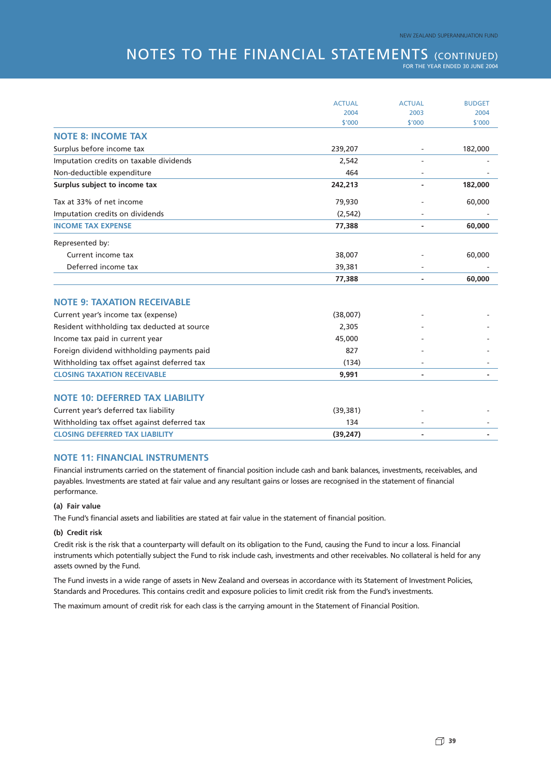### **NOTES TO THE FINANCIAL STATEMENTS (CONTINUED)**

FOR THE YEAR ENDED 30 JUNE 2004

|                                             | <b>ACTUAL</b> | <b>ACTUAL</b> | <b>BUDGET</b> |
|---------------------------------------------|---------------|---------------|---------------|
|                                             | 2004          | 2003          | 2004          |
|                                             | \$'000        | \$'000        | \$'000        |
| <b>NOTE 8: INCOME TAX</b>                   |               |               |               |
| Surplus before income tax                   | 239,207       |               | 182,000       |
| Imputation credits on taxable dividends     | 2,542         |               |               |
| Non-deductible expenditure                  | 464           |               |               |
| Surplus subject to income tax               | 242,213       |               | 182,000       |
| Tax at 33% of net income                    | 79,930        |               | 60,000        |
| Imputation credits on dividends             | (2, 542)      |               |               |
| <b>INCOME TAX EXPENSE</b>                   | 77,388        |               | 60,000        |
| Represented by:                             |               |               |               |
| Current income tax                          | 38,007        |               | 60,000        |
| Deferred income tax                         | 39,381        |               |               |
|                                             | 77,388        |               | 60,000        |
| <b>NOTE 9: TAXATION RECEIVABLE</b>          |               |               |               |
| Current year's income tax (expense)         | (38,007)      |               |               |
| Resident withholding tax deducted at source | 2,305         |               |               |
| Income tax paid in current year             | 45,000        |               |               |
| Foreign dividend withholding payments paid  | 827           |               |               |
| Withholding tax offset against deferred tax | (134)         |               |               |
| <b>CLOSING TAXATION RECEIVABLE</b>          | 9,991         |               |               |
| <b>NOTE 10: DEFERRED TAX LIABILITY</b>      |               |               |               |
| Current year's deferred tax liability       | (39, 381)     |               |               |
|                                             | 134           |               |               |
| Withholding tax offset against deferred tax |               |               |               |
| <b>CLOSING DEFERRED TAX LIABILITY</b>       | (39, 247)     |               |               |

#### **NOTE 11: FINANCIAL INSTRUMENTS**

Financial instruments carried on the statement of financial position include cash and bank balances, investments, receivables, and payables. Investments are stated at fair value and any resultant gains or losses are recognised in the statement of financial performance.

#### **(a) Fair value**

The Fund's financial assets and liabilities are stated at fair value in the statement of financial position.

#### **(b) Credit risk**

Credit risk is the risk that a counterparty will default on its obligation to the Fund, causing the Fund to incur a loss. Financial instruments which potentially subject the Fund to risk include cash, investments and other receivables. No collateral is held for any assets owned by the Fund.

The Fund invests in a wide range of assets in New Zealand and overseas in accordance with its Statement of Investment Policies, Standards and Procedures. This contains credit and exposure policies to limit credit risk from the Fund's investments.

The maximum amount of credit risk for each class is the carrying amount in the Statement of Financial Position.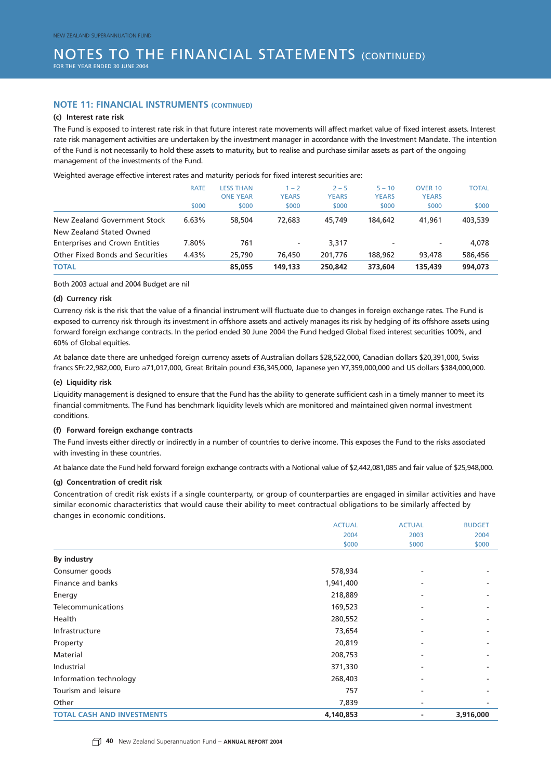#### **NOTE 11: FINANCIAL INSTRUMENTS (CONTINUED)**

#### **(c) Interest rate risk**

The Fund is exposed to interest rate risk in that future interest rate movements will affect market value of fixed interest assets. Interest rate risk management activities are undertaken by the investment manager in accordance with the Investment Mandate. The intention of the Fund is not necessarily to hold these assets to maturity, but to realise and purchase similar assets as part of the ongoing management of the investments of the Fund.

Weighted average effective interest rates and maturity periods for fixed interest securities are:

|                                         | <b>RATE</b> | <b>LESS THAN</b><br><b>ONE YEAR</b> | $-2$<br><b>YEARS</b> | $2 - 5$<br><b>YEARS</b> | $5 - 10$<br><b>YEARS</b> | <b>OVER 10</b><br><b>YEARS</b> | <b>TOTAL</b> |
|-----------------------------------------|-------------|-------------------------------------|----------------------|-------------------------|--------------------------|--------------------------------|--------------|
|                                         | \$000       | \$000                               | \$000                | \$000                   | \$000                    | \$000                          | \$000        |
| New Zealand Government Stock            | 6.63%       | 58,504                              | 72,683               | 45,749                  | 184,642                  | 41,961                         | 403,539      |
| New Zealand Stated Owned                |             |                                     |                      |                         |                          |                                |              |
| <b>Enterprises and Crown Entities</b>   | 7.80%       | 761                                 | -                    | 3,317                   | ۰                        | $\overline{\phantom{a}}$       | 4,078        |
| <b>Other Fixed Bonds and Securities</b> | 4.43%       | 25,790                              | 76,450               | 201.776                 | 188,962                  | 93,478                         | 586,456      |
| <b>TOTAL</b>                            |             | 85,055                              | 149,133              | 250,842                 | 373,604                  | 135,439                        | 994,073      |

Both 2003 actual and 2004 Budget are nil

#### **(d) Currency risk**

Currency risk is the risk that the value of a financial instrument will fluctuate due to changes in foreign exchange rates. The Fund is exposed to currency risk through its investment in offshore assets and actively manages its risk by hedging of its offshore assets using forward foreign exchange contracts. In the period ended 30 June 2004 the Fund hedged Global fixed interest securities 100%, and 60% of Global equities.

At balance date there are unhedged foreign currency assets of Australian dollars \$28,522,000, Canadian dollars \$20,391,000, Swiss francs SFr.22,982,000, Euro a71,017,000, Great Britain pound £36,345,000, Japanese yen ¥7,359,000,000 and US dollars \$384,000,000.

#### **(e) Liquidity risk**

Liquidity management is designed to ensure that the Fund has the ability to generate sufficient cash in a timely manner to meet its financial commitments. The Fund has benchmark liquidity levels which are monitored and maintained given normal investment conditions.

#### **(f) Forward foreign exchange contracts**

The Fund invests either directly or indirectly in a number of countries to derive income. This exposes the Fund to the risks associated with investing in these countries.

At balance date the Fund held forward foreign exchange contracts with a Notional value of \$2,442,081,085 and fair value of \$25,948,000.

#### **(g) Concentration of credit risk**

Concentration of credit risk exists if a single counterparty, or group of counterparties are engaged in similar activities and have similar economic characteristics that would cause their ability to meet contractual obligations to be similarly affected by changes in economic conditions.

|                                   | <b>ACTUAL</b> | <b>ACTUAL</b> | <b>BUDGET</b> |
|-----------------------------------|---------------|---------------|---------------|
|                                   | 2004          | 2003          | 2004          |
|                                   | \$000         | \$000         | \$000         |
| <b>By industry</b>                |               |               |               |
| Consumer goods                    | 578,934       |               |               |
| Finance and banks                 | 1,941,400     |               |               |
| Energy                            | 218,889       |               |               |
| Telecommunications                | 169,523       |               |               |
| Health                            | 280,552       |               |               |
| Infrastructure                    | 73,654        |               |               |
| Property                          | 20,819        |               |               |
| Material                          | 208,753       |               |               |
| Industrial                        | 371,330       |               |               |
| Information technology            | 268,403       |               |               |
| Tourism and leisure               | 757           |               |               |
| Other                             | 7,839         |               |               |
| <b>TOTAL CASH AND INVESTMENTS</b> | 4,140,853     |               | 3,916,000     |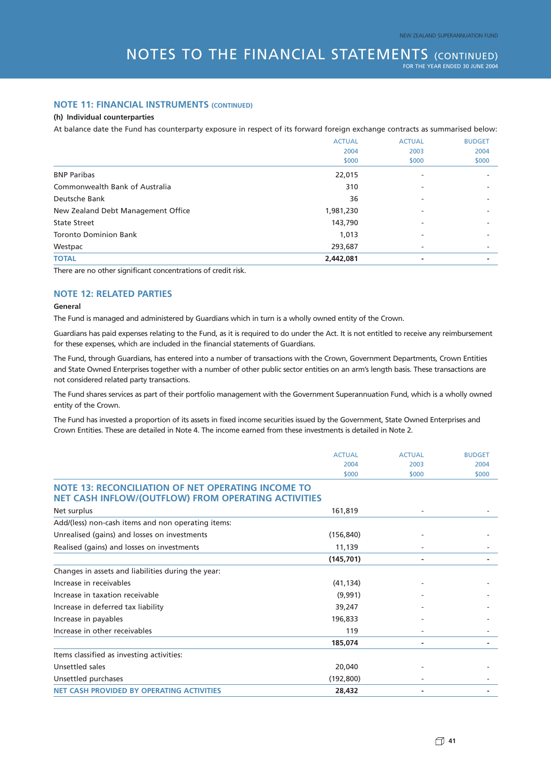#### **NOTE 11: FINANCIAL INSTRUMENTS (CONTINUED)**

#### **(h) Individual counterparties**

At balance date the Fund has counterparty exposure in respect of its forward foreign exchange contracts as summarised below:

|           | <b>ACTUAL</b>            | <b>BUDGET</b> |
|-----------|--------------------------|---------------|
| 2004      | 2003                     | 2004          |
| \$000     | \$000                    | \$000         |
| 22,015    | $\overline{\phantom{a}}$ |               |
| 310       |                          |               |
| 36        |                          |               |
| 1,981,230 |                          |               |
| 143,790   |                          |               |
| 1,013     |                          |               |
| 293,687   |                          |               |
| 2,442,081 |                          |               |
|           | <b>ACTUAL</b>            |               |

There are no other significant concentrations of credit risk.

#### **NOTE 12: RELATED PARTIES**

#### **General**

The Fund is managed and administered by Guardians which in turn is a wholly owned entity of the Crown.

Guardians has paid expenses relating to the Fund, as it is required to do under the Act. It is not entitled to receive any reimbursement for these expenses, which are included in the financial statements of Guardians.

The Fund, through Guardians, has entered into a number of transactions with the Crown, Government Departments, Crown Entities and State Owned Enterprises together with a number of other public sector entities on an arm's length basis. These transactions are not considered related party transactions.

The Fund shares services as part of their portfolio management with the Government Superannuation Fund, which is a wholly owned entity of the Crown.

The Fund has invested a proportion of its assets in fixed income securities issued by the Government, State Owned Enterprises and Crown Entities. These are detailed in Note 4. The income earned from these investments is detailed in Note 2.

|                                                                                                                         | <b>ACTUAL</b> | <b>ACTUAL</b> | <b>BUDGET</b> |
|-------------------------------------------------------------------------------------------------------------------------|---------------|---------------|---------------|
|                                                                                                                         | 2004          | 2003          | 2004          |
|                                                                                                                         | \$000         | \$000         | \$000         |
| <b>NOTE 13: RECONCILIATION OF NET OPERATING INCOME TO</b><br><b>NET CASH INFLOW/(OUTFLOW) FROM OPERATING ACTIVITIES</b> |               |               |               |
| Net surplus                                                                                                             | 161,819       |               |               |
| Add/(less) non-cash items and non operating items:                                                                      |               |               |               |
| Unrealised (gains) and losses on investments                                                                            | (156, 840)    |               |               |
| Realised (gains) and losses on investments                                                                              | 11,139        |               |               |
|                                                                                                                         | (145, 701)    | ٠             |               |
| Changes in assets and liabilities during the year:                                                                      |               |               |               |
| Increase in receivables                                                                                                 | (41, 134)     |               |               |
| Increase in taxation receivable                                                                                         | (9,991)       |               |               |
| Increase in deferred tax liability                                                                                      | 39,247        |               |               |
| Increase in payables                                                                                                    | 196,833       |               |               |
| Increase in other receivables                                                                                           | 119           |               |               |
|                                                                                                                         | 185,074       |               |               |
| Items classified as investing activities:                                                                               |               |               |               |
| Unsettled sales                                                                                                         | 20,040        |               |               |
| Unsettled purchases                                                                                                     | (192, 800)    |               |               |
| <b>NET CASH PROVIDED BY OPERATING ACTIVITIES</b>                                                                        | 28,432        |               |               |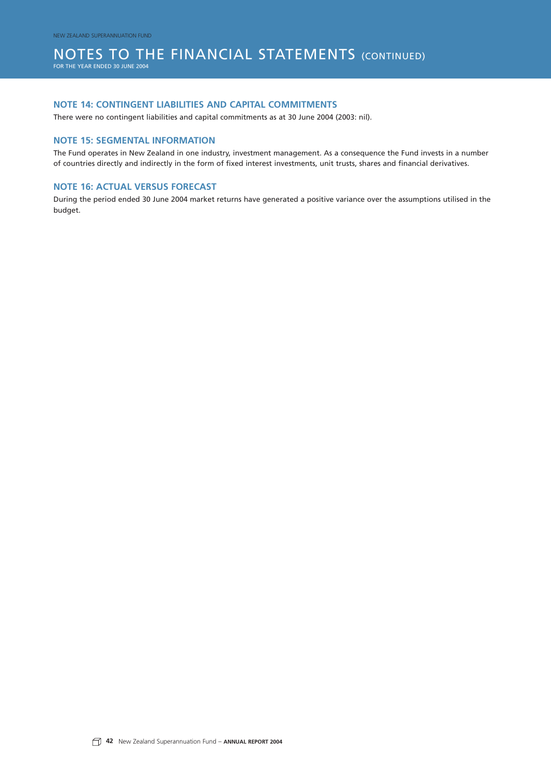### NOTES TO THE FINANCIAL STATEMENTS (CONTINUED)

FOR THE YEAR ENDED 30 JUNE 2004

#### **NOTE 14: CONTINGENT LIABILITIES AND CAPITAL COMMITMENTS**

There were no contingent liabilities and capital commitments as at 30 June 2004 (2003: nil).

#### **NOTE 15: SEGMENTAL INFORMATION**

The Fund operates in New Zealand in one industry, investment management. As a consequence the Fund invests in a number of countries directly and indirectly in the form of fixed interest investments, unit trusts, shares and financial derivatives.

#### **NOTE 16: ACTUAL VERSUS FORECAST**

During the period ended 30 June 2004 market returns have generated a positive variance over the assumptions utilised in the budget.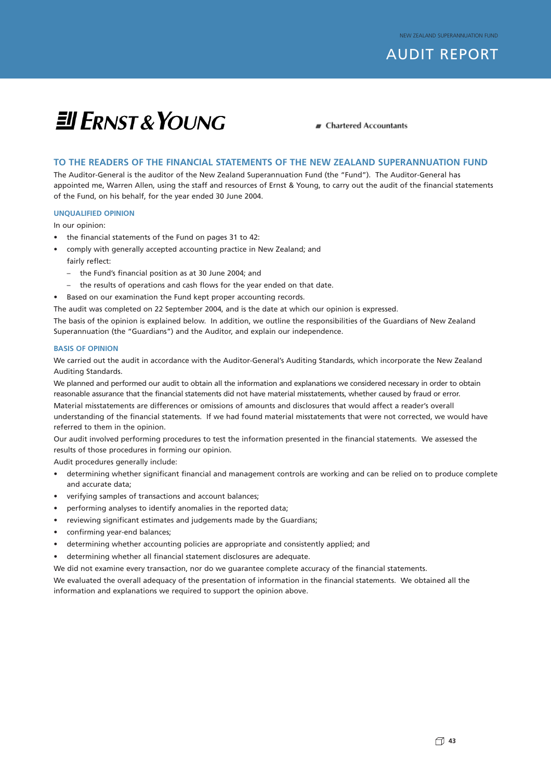### AUDIT REPORT

# **EU ERNST & YOUNG**

**F** Chartered Accountants

#### **TO THE READERS OF THE FINANCIAL STATEMENTS OF THE NEW ZEALAND SUPERANNUATION FUND**

The Auditor-General is the auditor of the New Zealand Superannuation Fund (the "Fund"). The Auditor-General has appointed me, Warren Allen, using the staff and resources of Ernst & Young, to carry out the audit of the financial statements of the Fund, on his behalf, for the year ended 30 June 2004.

#### **UNQUALIFIED OPINION**

In our opinion:

- the financial statements of the Fund on pages 31 to 42:
- comply with generally accepted accounting practice in New Zealand; and
	- fairly reflect:
	- the Fund's financial position as at 30 June 2004; and
	- the results of operations and cash flows for the year ended on that date.
- Based on our examination the Fund kept proper accounting records.

The audit was completed on 22 September 2004, and is the date at which our opinion is expressed.

The basis of the opinion is explained below. In addition, we outline the responsibilities of the Guardians of New Zealand Superannuation (the "Guardians") and the Auditor, and explain our independence.

#### **BASIS OF OPINION**

We carried out the audit in accordance with the Auditor-General's Auditing Standards, which incorporate the New Zealand Auditing Standards.

We planned and performed our audit to obtain all the information and explanations we considered necessary in order to obtain reasonable assurance that the financial statements did not have material misstatements, whether caused by fraud or error. Material misstatements are differences or omissions of amounts and disclosures that would affect a reader's overall understanding of the financial statements. If we had found material misstatements that were not corrected, we would have referred to them in the opinion.

Our audit involved performing procedures to test the information presented in the financial statements. We assessed the results of those procedures in forming our opinion.

Audit procedures generally include:

- determining whether significant financial and management controls are working and can be relied on to produce complete and accurate data;
- verifying samples of transactions and account balances;
- performing analyses to identify anomalies in the reported data;
- reviewing significant estimates and judgements made by the Guardians;
- confirming year-end balances;
- determining whether accounting policies are appropriate and consistently applied; and
- determining whether all financial statement disclosures are adequate.

We did not examine every transaction, nor do we guarantee complete accuracy of the financial statements. We evaluated the overall adequacy of the presentation of information in the financial statements. We obtained all the information and explanations we required to support the opinion above.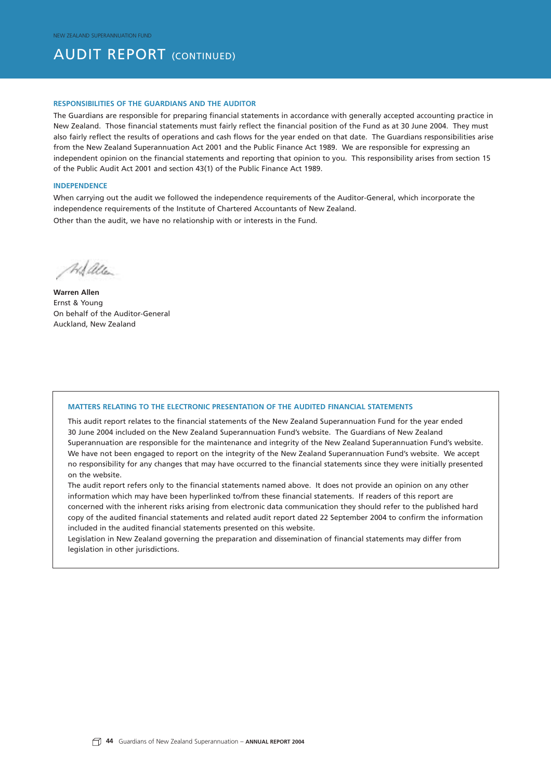### **AUDIT REPORT (CONTINUED)**

#### **RESPONSIBILITIES OF THE GUARDIANS AND THE AUDITOR**

The Guardians are responsible for preparing financial statements in accordance with generally accepted accounting practice in New Zealand. Those financial statements must fairly reflect the financial position of the Fund as at 30 June 2004. They must also fairly reflect the results of operations and cash flows for the year ended on that date. The Guardians responsibilities arise from the New Zealand Superannuation Act 2001 and the Public Finance Act 1989. We are responsible for expressing an independent opinion on the financial statements and reporting that opinion to you. This responsibility arises from section 15 of the Public Audit Act 2001 and section 43(1) of the Public Finance Act 1989.

#### **INDEPENDENCE**

When carrying out the audit we followed the independence requirements of the Auditor-General, which incorporate the independence requirements of the Institute of Chartered Accountants of New Zealand.

Other than the audit, we have no relationship with or interests in the Fund.

Adalla

**Warren Allen** Ernst & Young On behalf of the Auditor-General Auckland, New Zealand

#### **MATTERS RELATING TO THE ELECTRONIC PRESENTATION OF THE AUDITED FINANCIAL STATEMENTS**

This audit report relates to the financial statements of the New Zealand Superannuation Fund for the year ended 30 June 2004 included on the New Zealand Superannuation Fund's website. The Guardians of New Zealand Superannuation are responsible for the maintenance and integrity of the New Zealand Superannuation Fund's website. We have not been engaged to report on the integrity of the New Zealand Superannuation Fund's website. We accept no responsibility for any changes that may have occurred to the financial statements since they were initially presented on the website.

The audit report refers only to the financial statements named above. It does not provide an opinion on any other information which may have been hyperlinked to/from these financial statements. If readers of this report are concerned with the inherent risks arising from electronic data communication they should refer to the published hard copy of the audited financial statements and related audit report dated 22 September 2004 to confirm the information included in the audited financial statements presented on this website.

Legislation in New Zealand governing the preparation and dissemination of financial statements may differ from legislation in other jurisdictions.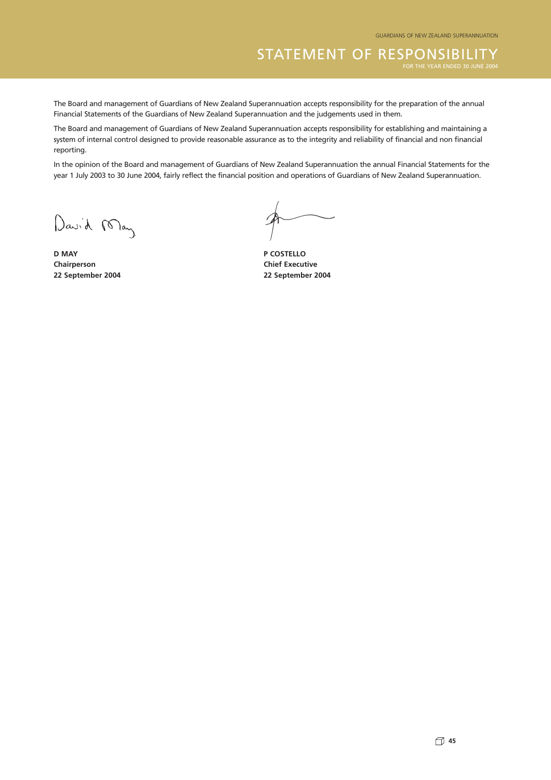The Board and management of Guardians of New Zealand Superannuation accepts responsibility for the preparation of the annual Financial Statements of the Guardians of New Zealand Superannuation and the judgements used in them.

The Board and management of Guardians of New Zealand Superannuation accepts responsibility for establishing and maintaining a system of internal control designed to provide reasonable assurance as to the integrity and reliability of financial and non financial reporting.

In the opinion of the Board and management of Guardians of New Zealand Superannuation the annual Financial Statements for the year 1 July 2003 to 30 June 2004, fairly reflect the financial position and operations of Guardians of New Zealand Superannuation.

David May

**D MAY P COSTELLO Chairperson Chairperson Chairperson 22 September 2004 22 September 2004**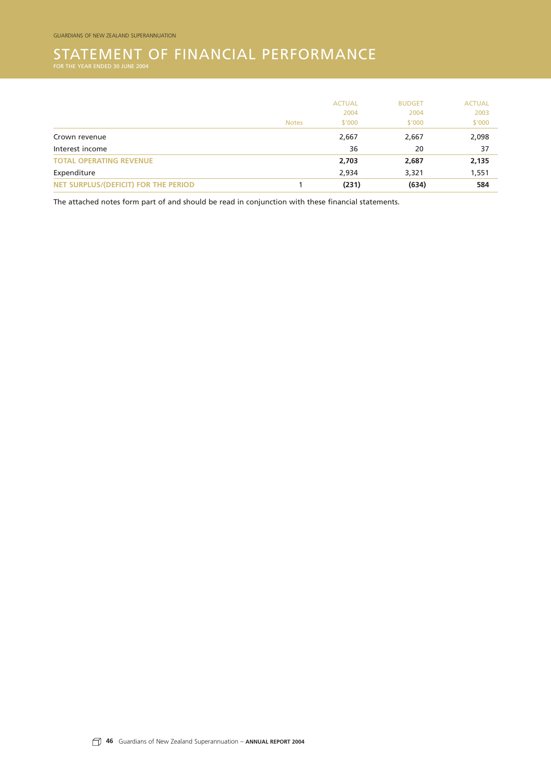## STATEMENT OF FINANCIAL PERFORMANCE<br>for the year ended 30 june 2004

|                                      |              | <b>ACTUAL</b> | <b>BUDGET</b> | <b>ACTUAL</b> |
|--------------------------------------|--------------|---------------|---------------|---------------|
|                                      |              | 2004          | 2004          | 2003          |
|                                      | <b>Notes</b> | \$'000        | \$'000        | \$'000        |
| Crown revenue                        |              | 2,667         | 2,667         | 2,098         |
| Interest income                      |              | 36            | 20            | 37            |
| <b>TOTAL OPERATING REVENUE</b>       |              | 2,703         | 2,687         | 2,135         |
| Expenditure                          |              | 2,934         | 3,321         | 1,551         |
| NET SURPLUS/(DEFICIT) FOR THE PERIOD |              | (231)         | (634)         | 584           |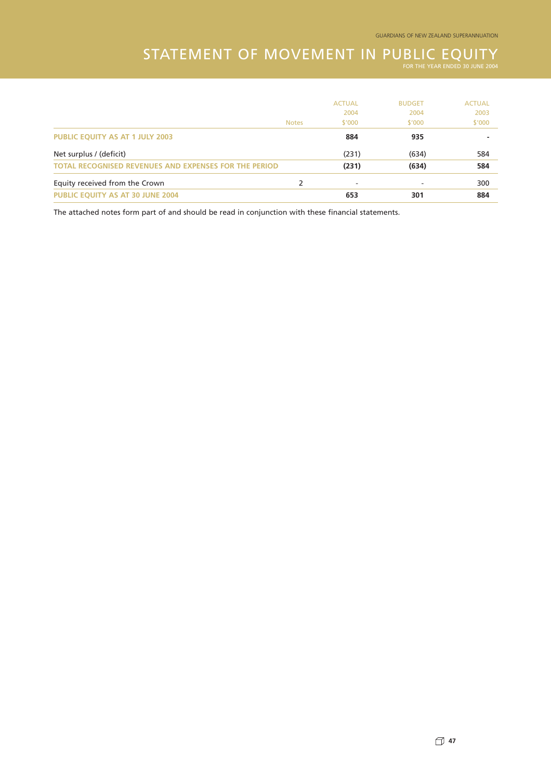### STATEMENT OF MOVEMENT IN PUBLIC EQUITY

|                                                              |              | <b>ACTUAL</b> | <b>BUDGET</b> | <b>ACTUAL</b> |
|--------------------------------------------------------------|--------------|---------------|---------------|---------------|
|                                                              |              | 2004          | 2004          | 2003          |
|                                                              | <b>Notes</b> | \$'000        | \$'000        | \$'000        |
| <b>PUBLIC EQUITY AS AT 1 JULY 2003</b>                       |              | 884           | 935           |               |
| Net surplus / (deficit)                                      |              | (231)         | (634)         | 584           |
| <b>TOTAL RECOGNISED REVENUES AND EXPENSES FOR THE PERIOD</b> |              | (231)         | (634)         | 584           |
| Equity received from the Crown                               | 2            | ٠             |               | 300           |
| <b>PUBLIC EQUITY AS AT 30 JUNE 2004</b>                      |              | 653           | 301           | 884           |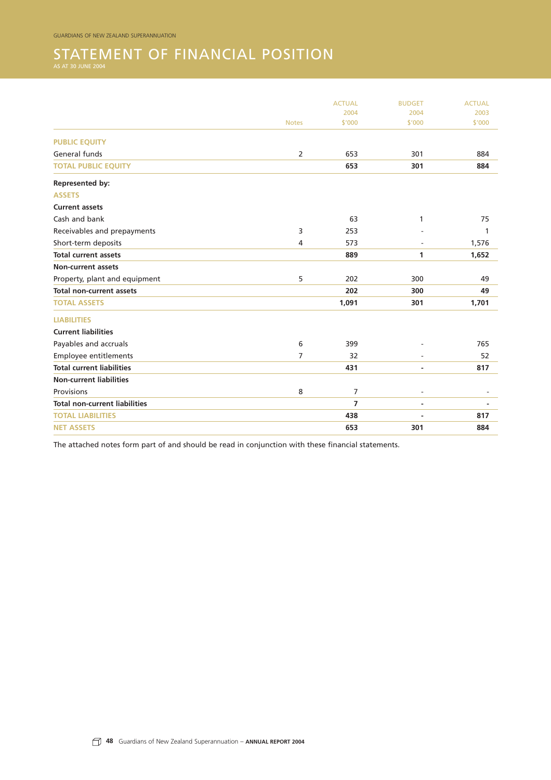## STATEMENT OF FINANCIAL POSITION

|                                      |              | <b>ACTUAL</b>  | <b>BUDGET</b>  | <b>ACTUAL</b> |
|--------------------------------------|--------------|----------------|----------------|---------------|
|                                      |              | 2004           | 2004           | 2003          |
|                                      | <b>Notes</b> | \$'000         | \$'000         | \$'000        |
| <b>PUBLIC EQUITY</b>                 |              |                |                |               |
| General funds                        | 2            | 653            | 301            | 884           |
| <b>TOTAL PUBLIC EQUITY</b>           |              | 653            | 301            | 884           |
| Represented by:                      |              |                |                |               |
| <b>ASSETS</b>                        |              |                |                |               |
| <b>Current assets</b>                |              |                |                |               |
| Cash and bank                        |              | 63             | 1              | 75            |
| Receivables and prepayments          | 3            | 253            |                | 1             |
| Short-term deposits                  | 4            | 573            |                | 1,576         |
| <b>Total current assets</b>          |              | 889            | 1              | 1,652         |
| <b>Non-current assets</b>            |              |                |                |               |
| Property, plant and equipment        | 5            | 202            | 300            | 49            |
| <b>Total non-current assets</b>      |              | 202            | 300            | 49            |
| <b>TOTAL ASSETS</b>                  |              | 1,091          | 301            | 1,701         |
| <b>LIABILITIES</b>                   |              |                |                |               |
| <b>Current liabilities</b>           |              |                |                |               |
| Payables and accruals                | 6            | 399            |                | 765           |
| Employee entitlements                | 7            | 32             |                | 52            |
| <b>Total current liabilities</b>     |              | 431            |                | 817           |
| <b>Non-current liabilities</b>       |              |                |                |               |
| Provisions                           | 8            | $\overline{7}$ | $\overline{a}$ |               |
| <b>Total non-current liabilities</b> |              | $\overline{7}$ |                |               |
| <b>TOTAL LIABILITIES</b>             |              | 438            | $\blacksquare$ | 817           |
| <b>NET ASSETS</b>                    |              | 653            | 301            | 884           |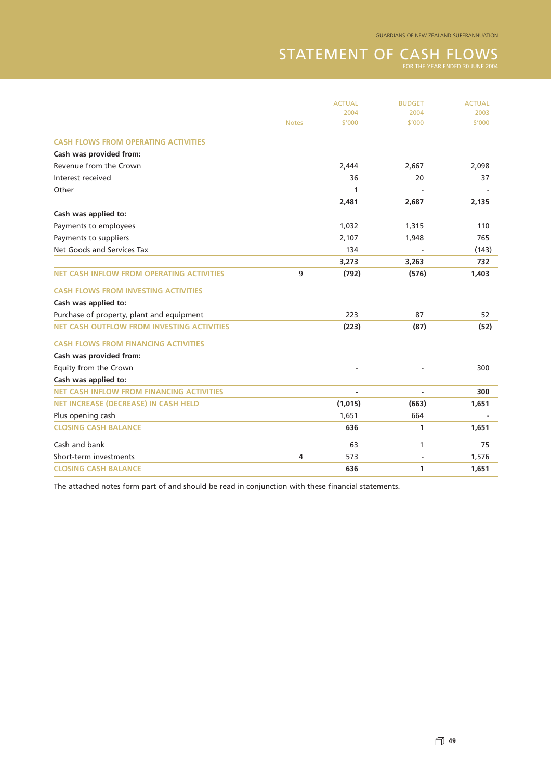## STATEMENT OF CASH FLOWS FOR THE YEAR ENDED 30 JUNE 2004

|                                                   |              | <b>ACTUAL</b> | <b>BUDGET</b> | <b>ACTUAL</b> |
|---------------------------------------------------|--------------|---------------|---------------|---------------|
|                                                   |              | 2004          | 2004          | 2003          |
|                                                   | <b>Notes</b> | \$'000        | \$'000        | \$'000        |
| <b>CASH FLOWS FROM OPERATING ACTIVITIES</b>       |              |               |               |               |
| Cash was provided from:                           |              |               |               |               |
| Revenue from the Crown                            |              | 2,444         | 2,667         | 2,098         |
| Interest received                                 |              | 36            | 20            | 37            |
| Other                                             |              | 1             |               |               |
|                                                   |              | 2,481         | 2,687         | 2,135         |
| Cash was applied to:                              |              |               |               |               |
| Payments to employees                             |              | 1,032         | 1,315         | 110           |
| Payments to suppliers                             |              | 2,107         | 1,948         | 765           |
| Net Goods and Services Tax                        |              | 134           |               | (143)         |
|                                                   |              | 3,273         | 3,263         | 732           |
| <b>NET CASH INFLOW FROM OPERATING ACTIVITIES</b>  | 9            | (792)         | (576)         | 1,403         |
| <b>CASH FLOWS FROM INVESTING ACTIVITIES</b>       |              |               |               |               |
| Cash was applied to:                              |              |               |               |               |
| Purchase of property, plant and equipment         |              | 223           | 87            | 52            |
| <b>NET CASH OUTFLOW FROM INVESTING ACTIVITIES</b> |              | (223)         | (87)          | (52)          |
| <b>CASH FLOWS FROM FINANCING ACTIVITIES</b>       |              |               |               |               |
| Cash was provided from:                           |              |               |               |               |
| Equity from the Crown                             |              |               |               | 300           |
| Cash was applied to:                              |              |               |               |               |
| <b>NET CASH INFLOW FROM FINANCING ACTIVITIES</b>  |              | $\sim$        | $\sim$        | 300           |
| <b>NET INCREASE (DECREASE) IN CASH HELD</b>       |              | (1,015)       | (663)         | 1,651         |
| Plus opening cash                                 |              | 1,651         | 664           |               |
| <b>CLOSING CASH BALANCE</b>                       |              | 636           | 1             | 1,651         |
| Cash and bank                                     |              | 63            | 1             | 75            |
| Short-term investments                            | 4            | 573           |               | 1,576         |
| <b>CLOSING CASH BALANCE</b>                       |              | 636           | 1             | 1,651         |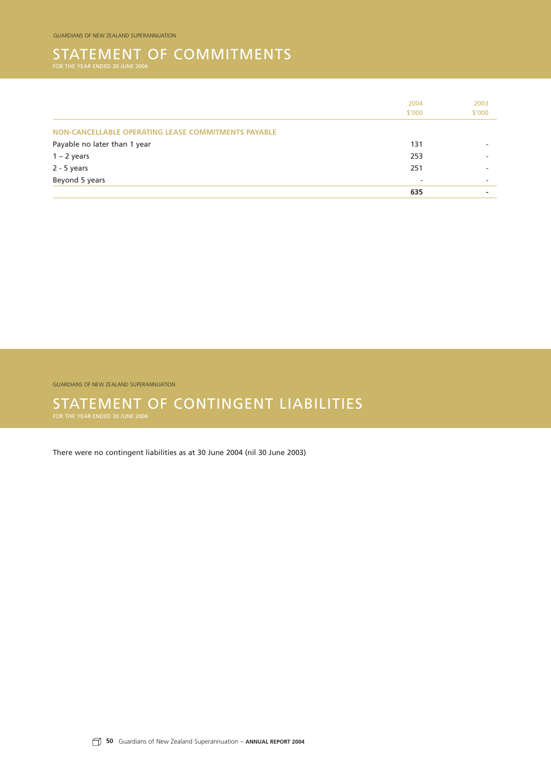### STATEMENT OF COMMITMENTS

|                                                     | 2004   | 2003   |
|-----------------------------------------------------|--------|--------|
|                                                     | \$'000 | \$'000 |
| NON-CANCELLABLE OPERATING LEASE COMMITMENTS PAYABLE |        |        |
| Payable no later than 1 year                        | 131    |        |
| $1 - 2$ years                                       | 253    |        |
| $2 - 5$ years                                       | 251    |        |
| Beyond 5 years                                      |        |        |
|                                                     | 635    |        |

GUARDIANS OF NEW ZEALAND SUPERANNUATION

## STATEMENT OF CONTINGENT LIABILITIES<br>for the year ended 30 june 2004

There were no contingent liabilities as at 30 June 2004 (nil 30 June 2003)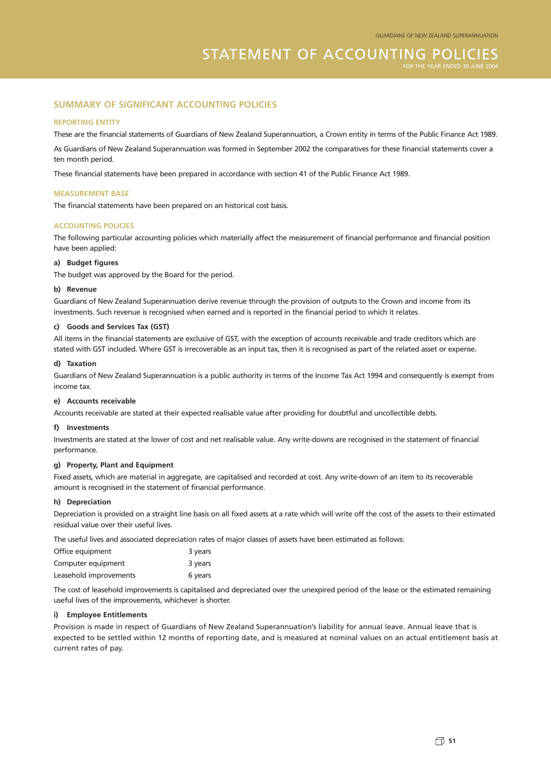#### **SUMMARY OF SIGNIFICANT ACCOUNTING POLICIES**

#### **REPORTING ENTITY**

These are the financial statements of Guardians of New Zealand Superannuation, a Crown entity in terms of the Public Finance Act 1989.

As Guardians of New Zealand Superannuation was formed in September 2002 the comparatives for these financial statements cover a ten month period.

These financial statements have been prepared in accordance with section 41 of the Public Finance Act 1989.

#### **MEASUREMENT BASE**

The financial statements have been prepared on an historical cost basis.

#### **ACCOUNTING POLICIES**

The following particular accounting policies which materially affect the measurement of financial performance and financial position have been applied:

#### **a) Budget figures**

The budget was approved by the Board for the period.

#### **b) Revenue**

Guardians of New Zealand Superannuation derive revenue through the provision of outputs to the Crown and income from its investments. Such revenue is recognised when earned and is reported in the financial period to which it relates.

#### **c) Goods and Services Tax (GST)**

All items in the financial statements are exclusive of GST, with the exception of accounts receivable and trade creditors which are stated with GST included. Where GST is irrecoverable as an input tax, then it is recognised as part of the related asset or expense.

#### **d) Taxation**

Guardians of New Zealand Superannuation is a public authority in terms of the Income Tax Act 1994 and consequently is exempt from income tax.

#### **e) Accounts receivable**

Accounts receivable are stated at their expected realisable value after providing for doubtful and uncollectible debts.

#### **f) Investments**

Investments are stated at the lower of cost and net realisable value. Any write-downs are recognised in the statement of financial performance.

#### **g) Property, Plant and Equipment**

Fixed assets, which are material in aggregate, are capitalised and recorded at cost. Any write-down of an item to its recoverable amount is recognised in the statement of financial performance.

#### **h) Depreciation**

Depreciation is provided on a straight line basis on all fixed assets at a rate which will write off the cost of the assets to their estimated residual value over their useful lives.

The useful lives and associated depreciation rates of major classes of assets have been estimated as follows:

| Office equipment       | 3 years |
|------------------------|---------|
| Computer equipment     | 3 years |
| Leasehold improvements | 6 years |

The cost of leasehold improvements is capitalised and depreciated over the unexpired period of the lease or the estimated remaining useful lives of the improvements, whichever is shorter.

#### **i) Employee Entitlements**

Provision is made in respect of Guardians of New Zealand Superannuation's liability for annual leave. Annual leave that is expected to be settled within 12 months of reporting date, and is measured at nominal values on an actual entitlement basis at current rates of pay.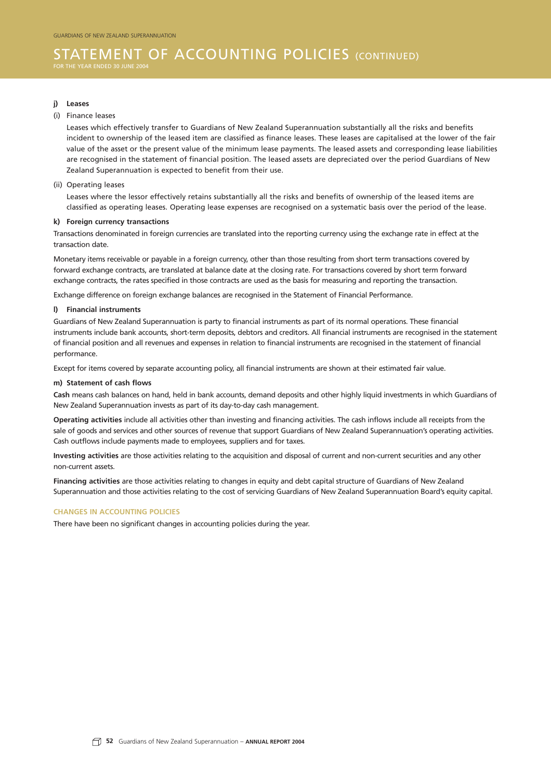#### STATEMENT OF ACCOUNTING POLICIES (CONTINUED) FOR THE YEAR ENDED 30 JUNI

#### **j) Leases**

#### (i) Finance leases

Leases which effectively transfer to Guardians of New Zealand Superannuation substantially all the risks and benefits incident to ownership of the leased item are classified as finance leases. These leases are capitalised at the lower of the fair value of the asset or the present value of the minimum lease payments. The leased assets and corresponding lease liabilities are recognised in the statement of financial position. The leased assets are depreciated over the period Guardians of New Zealand Superannuation is expected to benefit from their use.

#### (ii) Operating leases

Leases where the lessor effectively retains substantially all the risks and benefits of ownership of the leased items are classified as operating leases. Operating lease expenses are recognised on a systematic basis over the period of the lease.

#### **k) Foreign currency transactions**

Transactions denominated in foreign currencies are translated into the reporting currency using the exchange rate in effect at the transaction date.

Monetary items receivable or payable in a foreign currency, other than those resulting from short term transactions covered by forward exchange contracts, are translated at balance date at the closing rate. For transactions covered by short term forward exchange contracts, the rates specified in those contracts are used as the basis for measuring and reporting the transaction.

Exchange difference on foreign exchange balances are recognised in the Statement of Financial Performance.

#### **l) Financial instruments**

Guardians of New Zealand Superannuation is party to financial instruments as part of its normal operations. These financial instruments include bank accounts, short-term deposits, debtors and creditors. All financial instruments are recognised in the statement of financial position and all revenues and expenses in relation to financial instruments are recognised in the statement of financial performance.

Except for items covered by separate accounting policy, all financial instruments are shown at their estimated fair value.

#### **m) Statement of cash flows**

**Cash** means cash balances on hand, held in bank accounts, demand deposits and other highly liquid investments in which Guardians of New Zealand Superannuation invests as part of its day-to-day cash management.

**Operating activities** include all activities other than investing and financing activities. The cash inflows include all receipts from the sale of goods and services and other sources of revenue that support Guardians of New Zealand Superannuation's operating activities. Cash outflows include payments made to employees, suppliers and for taxes.

**Investing activities** are those activities relating to the acquisition and disposal of current and non-current securities and any other non-current assets.

**Financing activities** are those activities relating to changes in equity and debt capital structure of Guardians of New Zealand Superannuation and those activities relating to the cost of servicing Guardians of New Zealand Superannuation Board's equity capital.

#### **CHANGES IN ACCOUNTING POLICIES**

There have been no significant changes in accounting policies during the year.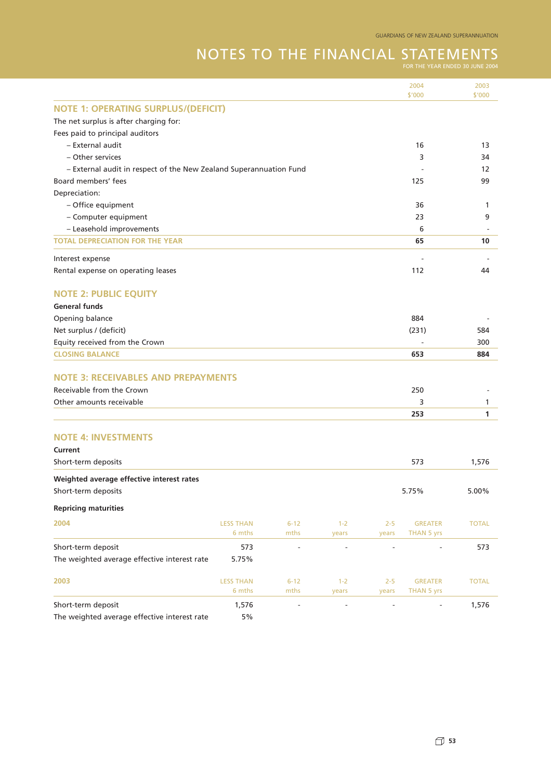# NOTES TO THE FINANCIAL STATEMENTS

|                                                                    |                  |                          |                          |                              | 2004              | 2003                     |
|--------------------------------------------------------------------|------------------|--------------------------|--------------------------|------------------------------|-------------------|--------------------------|
|                                                                    |                  |                          |                          |                              | \$'000            | \$'000                   |
| <b>NOTE 1: OPERATING SURPLUS/(DEFICIT)</b>                         |                  |                          |                          |                              |                   |                          |
| The net surplus is after charging for:                             |                  |                          |                          |                              |                   |                          |
| Fees paid to principal auditors                                    |                  |                          |                          |                              |                   |                          |
| - External audit                                                   |                  |                          |                          |                              | 16                | 13                       |
| - Other services                                                   |                  |                          |                          |                              | 3                 | 34                       |
| - External audit in respect of the New Zealand Superannuation Fund |                  |                          |                          |                              |                   | 12                       |
| Board members' fees                                                |                  |                          |                          |                              | 125               | 99                       |
| Depreciation:                                                      |                  |                          |                          |                              |                   |                          |
| - Office equipment                                                 |                  |                          |                          |                              | 36                | 1                        |
| - Computer equipment                                               |                  |                          |                          |                              | 23                | 9                        |
| - Leasehold improvements                                           |                  |                          |                          |                              | 6                 | $\overline{\phantom{a}}$ |
| <b>TOTAL DEPRECIATION FOR THE YEAR</b>                             |                  |                          |                          |                              | 65                | 10                       |
| Interest expense                                                   |                  |                          |                          |                              |                   |                          |
| Rental expense on operating leases                                 |                  |                          |                          |                              | 112               | 44                       |
| <b>NOTE 2: PUBLIC EQUITY</b>                                       |                  |                          |                          |                              |                   |                          |
| <b>General funds</b>                                               |                  |                          |                          |                              |                   |                          |
| Opening balance                                                    |                  |                          |                          |                              | 884               |                          |
| Net surplus / (deficit)                                            |                  |                          |                          |                              | (231)             | 584                      |
| Equity received from the Crown                                     |                  |                          |                          |                              |                   | 300                      |
| <b>CLOSING BALANCE</b>                                             |                  |                          |                          |                              | 653               | 884                      |
|                                                                    |                  |                          |                          |                              |                   |                          |
| <b>NOTE 3: RECEIVABLES AND PREPAYMENTS</b>                         |                  |                          |                          |                              |                   |                          |
| Receivable from the Crown                                          |                  |                          |                          |                              | 250               |                          |
| Other amounts receivable                                           |                  |                          |                          |                              | 3                 | 1                        |
|                                                                    |                  |                          |                          |                              | 253               | 1                        |
|                                                                    |                  |                          |                          |                              |                   |                          |
| <b>NOTE 4: INVESTMENTS</b>                                         |                  |                          |                          |                              |                   |                          |
| Current                                                            |                  |                          |                          |                              |                   |                          |
| Short-term deposits                                                |                  |                          |                          |                              | 573               | 1,576                    |
| Weighted average effective interest rates                          |                  |                          |                          |                              |                   |                          |
| Short-term deposits                                                |                  |                          |                          |                              | 5.75%             | 5.00%                    |
|                                                                    |                  |                          |                          |                              |                   |                          |
| <b>Repricing maturities</b>                                        |                  |                          |                          |                              |                   |                          |
| 2004                                                               | <b>LESS THAN</b> | $6 - 12$                 | $1 - 2$                  | $2 - 5$                      | <b>GREATER</b>    | <b>TOTAL</b>             |
|                                                                    | 6 mths           | mths                     | years                    | years                        | <b>THAN 5 yrs</b> |                          |
| Short-term deposit                                                 | 573              | $\overline{\phantom{a}}$ | $\overline{\phantom{a}}$ | $\qquad \qquad \blacksquare$ |                   | 573                      |
| The weighted average effective interest rate                       | 5.75%            |                          |                          |                              |                   |                          |
| 2003                                                               | <b>LESS THAN</b> | $6 - 12$                 | $1 - 2$                  | $2 - 5$                      | <b>GREATER</b>    | <b>TOTAL</b>             |
|                                                                    | 6 mths           | mths                     | years                    | years                        | THAN 5 yrs        |                          |
| Short-term deposit                                                 | 1,576            | $\blacksquare$           | $\overline{\phantom{a}}$ | $\overline{a}$               |                   | 1,576                    |
| The weighted average effective interest rate                       | $5\%$            |                          |                          |                              |                   |                          |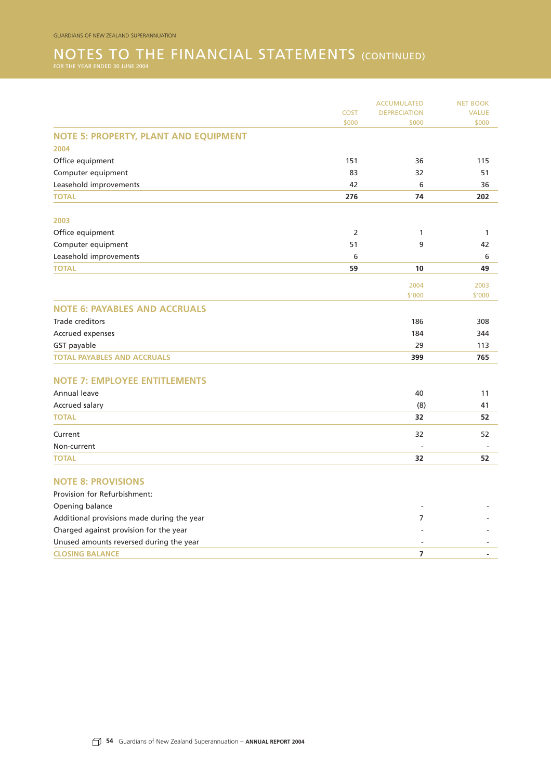## NOTES TO THE FINANCIAL STATEMENTS (CONTINUED) FOR THE YEAR ENDED 30 JUNE 2004

| COST<br><b>DEPRECIATION</b><br>\$000<br>\$000<br><b>NOTE 5: PROPERTY, PLANT AND EQUIPMENT</b><br>2004<br>Office equipment<br>151<br>36<br>83<br>Computer equipment<br>32<br>Leasehold improvements<br>42<br>6<br>74<br><b>TOTAL</b><br>276<br>2003<br>2<br>Office equipment<br>1<br>Computer equipment<br>51<br>9<br>Leasehold improvements<br>6<br><b>TOTAL</b><br>59<br>10<br>2004<br>\$'000<br><b>NOTE 6: PAYABLES AND ACCRUALS</b><br>Trade creditors<br>186<br>Accrued expenses<br>184<br>GST payable<br>29<br><b>TOTAL PAYABLES AND ACCRUALS</b><br>399<br><b>NOTE 7: EMPLOYEE ENTITLEMENTS</b><br>Annual leave<br>40<br>Accrued salary<br>(8)<br><b>TOTAL</b><br>32<br>32<br>Current<br>Non-current<br>32<br><b>TOTAL</b><br><b>NOTE 8: PROVISIONS</b><br>Provision for Refurbishment:<br>Opening balance<br>Additional provisions made during the year<br>$\overline{7}$<br>Charged against provision for the year<br>Unused amounts reversed during the year |  | <b>NET BOOK</b> |              |
|-----------------------------------------------------------------------------------------------------------------------------------------------------------------------------------------------------------------------------------------------------------------------------------------------------------------------------------------------------------------------------------------------------------------------------------------------------------------------------------------------------------------------------------------------------------------------------------------------------------------------------------------------------------------------------------------------------------------------------------------------------------------------------------------------------------------------------------------------------------------------------------------------------------------------------------------------------------------------|--|-----------------|--------------|
|                                                                                                                                                                                                                                                                                                                                                                                                                                                                                                                                                                                                                                                                                                                                                                                                                                                                                                                                                                       |  |                 | <b>VALUE</b> |
|                                                                                                                                                                                                                                                                                                                                                                                                                                                                                                                                                                                                                                                                                                                                                                                                                                                                                                                                                                       |  |                 | \$000        |
|                                                                                                                                                                                                                                                                                                                                                                                                                                                                                                                                                                                                                                                                                                                                                                                                                                                                                                                                                                       |  |                 |              |
|                                                                                                                                                                                                                                                                                                                                                                                                                                                                                                                                                                                                                                                                                                                                                                                                                                                                                                                                                                       |  |                 |              |
|                                                                                                                                                                                                                                                                                                                                                                                                                                                                                                                                                                                                                                                                                                                                                                                                                                                                                                                                                                       |  |                 | 115          |
|                                                                                                                                                                                                                                                                                                                                                                                                                                                                                                                                                                                                                                                                                                                                                                                                                                                                                                                                                                       |  |                 | 51           |
|                                                                                                                                                                                                                                                                                                                                                                                                                                                                                                                                                                                                                                                                                                                                                                                                                                                                                                                                                                       |  |                 | 36           |
|                                                                                                                                                                                                                                                                                                                                                                                                                                                                                                                                                                                                                                                                                                                                                                                                                                                                                                                                                                       |  |                 | 202          |
|                                                                                                                                                                                                                                                                                                                                                                                                                                                                                                                                                                                                                                                                                                                                                                                                                                                                                                                                                                       |  |                 |              |
|                                                                                                                                                                                                                                                                                                                                                                                                                                                                                                                                                                                                                                                                                                                                                                                                                                                                                                                                                                       |  |                 | $\mathbf{1}$ |
|                                                                                                                                                                                                                                                                                                                                                                                                                                                                                                                                                                                                                                                                                                                                                                                                                                                                                                                                                                       |  |                 | 42           |
|                                                                                                                                                                                                                                                                                                                                                                                                                                                                                                                                                                                                                                                                                                                                                                                                                                                                                                                                                                       |  |                 | 6            |
|                                                                                                                                                                                                                                                                                                                                                                                                                                                                                                                                                                                                                                                                                                                                                                                                                                                                                                                                                                       |  |                 | 49           |
|                                                                                                                                                                                                                                                                                                                                                                                                                                                                                                                                                                                                                                                                                                                                                                                                                                                                                                                                                                       |  |                 | 2003         |
|                                                                                                                                                                                                                                                                                                                                                                                                                                                                                                                                                                                                                                                                                                                                                                                                                                                                                                                                                                       |  |                 | \$'000       |
|                                                                                                                                                                                                                                                                                                                                                                                                                                                                                                                                                                                                                                                                                                                                                                                                                                                                                                                                                                       |  |                 |              |
|                                                                                                                                                                                                                                                                                                                                                                                                                                                                                                                                                                                                                                                                                                                                                                                                                                                                                                                                                                       |  |                 | 308          |
|                                                                                                                                                                                                                                                                                                                                                                                                                                                                                                                                                                                                                                                                                                                                                                                                                                                                                                                                                                       |  |                 | 344          |
|                                                                                                                                                                                                                                                                                                                                                                                                                                                                                                                                                                                                                                                                                                                                                                                                                                                                                                                                                                       |  |                 | 113          |
|                                                                                                                                                                                                                                                                                                                                                                                                                                                                                                                                                                                                                                                                                                                                                                                                                                                                                                                                                                       |  |                 | 765          |
|                                                                                                                                                                                                                                                                                                                                                                                                                                                                                                                                                                                                                                                                                                                                                                                                                                                                                                                                                                       |  |                 |              |
|                                                                                                                                                                                                                                                                                                                                                                                                                                                                                                                                                                                                                                                                                                                                                                                                                                                                                                                                                                       |  |                 | 11           |
|                                                                                                                                                                                                                                                                                                                                                                                                                                                                                                                                                                                                                                                                                                                                                                                                                                                                                                                                                                       |  |                 | 41           |
|                                                                                                                                                                                                                                                                                                                                                                                                                                                                                                                                                                                                                                                                                                                                                                                                                                                                                                                                                                       |  |                 | 52           |
|                                                                                                                                                                                                                                                                                                                                                                                                                                                                                                                                                                                                                                                                                                                                                                                                                                                                                                                                                                       |  |                 | 52           |
|                                                                                                                                                                                                                                                                                                                                                                                                                                                                                                                                                                                                                                                                                                                                                                                                                                                                                                                                                                       |  |                 |              |
|                                                                                                                                                                                                                                                                                                                                                                                                                                                                                                                                                                                                                                                                                                                                                                                                                                                                                                                                                                       |  |                 | 52           |
|                                                                                                                                                                                                                                                                                                                                                                                                                                                                                                                                                                                                                                                                                                                                                                                                                                                                                                                                                                       |  |                 |              |
|                                                                                                                                                                                                                                                                                                                                                                                                                                                                                                                                                                                                                                                                                                                                                                                                                                                                                                                                                                       |  |                 |              |
|                                                                                                                                                                                                                                                                                                                                                                                                                                                                                                                                                                                                                                                                                                                                                                                                                                                                                                                                                                       |  |                 |              |
|                                                                                                                                                                                                                                                                                                                                                                                                                                                                                                                                                                                                                                                                                                                                                                                                                                                                                                                                                                       |  |                 |              |
|                                                                                                                                                                                                                                                                                                                                                                                                                                                                                                                                                                                                                                                                                                                                                                                                                                                                                                                                                                       |  |                 |              |
|                                                                                                                                                                                                                                                                                                                                                                                                                                                                                                                                                                                                                                                                                                                                                                                                                                                                                                                                                                       |  |                 |              |
| <b>CLOSING BALANCE</b><br>$\overline{7}$                                                                                                                                                                                                                                                                                                                                                                                                                                                                                                                                                                                                                                                                                                                                                                                                                                                                                                                              |  |                 |              |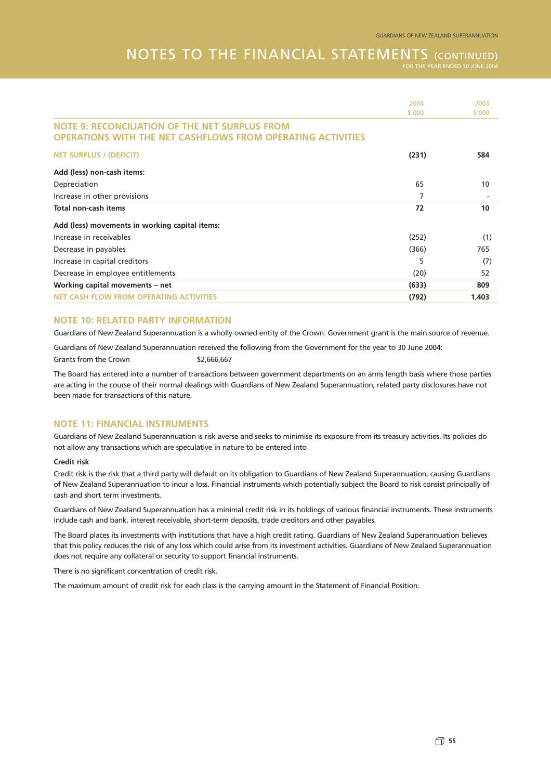### NOTES TO THE FINANCIAL STATEMENTS (CONTINUED)

|                                                                                                                      | 2004   | 2003   |
|----------------------------------------------------------------------------------------------------------------------|--------|--------|
|                                                                                                                      | \$'000 | \$'000 |
| <b>NOTE 9: RECONCILIATION OF THE NET SURPLUS FROM</b><br>OPERATIONS WITH THE NET CASHFLOWS FROM OPERATING ACTIVITIES |        |        |
| <b>NET SURPLUS / (DEFICIT)</b>                                                                                       | (231)  | 584    |
| Add (less) non-cash items:                                                                                           |        |        |
| Depreciation                                                                                                         | 65     | 10     |
| Increase in other provisions                                                                                         | 7      |        |
| Total non-cash items                                                                                                 | 72     | 10     |
| Add (less) movements in working capital items:                                                                       |        |        |
| Increase in receivables                                                                                              | (252)  | (1)    |
| Decrease in payables                                                                                                 | (366)  | 765    |
| Increase in capital creditors                                                                                        | 5      | (7)    |
| Decrease in employee entitlements                                                                                    | (20)   | 52     |
| Working capital movements - net                                                                                      | (633)  | 809    |
| <b>NET CASH FLOW FROM OPERATING ACTIVITIES</b>                                                                       | (792)  | 1,403  |
|                                                                                                                      |        |        |

#### **NOTE 10: RELATED PARTY INFORMATION**

Guardians of New Zealand Superannuation is a wholly owned entity of the Crown. Government grant is the main source of revenue.

Guardians of New Zealand Superannuation received the following from the Government for the year to 30 June 2004:

Grants from the Crown \$2,666,667

The Board has entered into a number of transactions between government departments on an arms length basis where those parties are acting in the course of their normal dealings with Guardians of New Zealand Superannuation, related party disclosures have not been made for transactions of this nature.

#### **NOTE 11: FINANCIAL INSTRUMENTS**

Guardians of New Zealand Superannuation is risk averse and seeks to minimise its exposure from its treasury activities. Its policies do not allow any transactions which are speculative in nature to be entered into

#### **Credit risk**

Credit risk is the risk that a third party will default on its obligation to Guardians of New Zealand Superannuation, causing Guardians of New Zealand Superannuation to incur a loss. Financial instruments which potentially subject the Board to risk consist principally of cash and short term investments.

Guardians of New Zealand Superannuation has a minimal credit risk in its holdings of various financial instruments. These instruments include cash and bank, interest receivable, short-term deposits, trade creditors and other payables.

The Board places its investments with institutions that have a high credit rating. Guardians of New Zealand Superannuation believes that this policy reduces the risk of any loss which could arise from its investment activities. Guardians of New Zealand Superannuation does not require any collateral or security to support financial instruments.

There is no significant concentration of credit risk.

The maximum amount of credit risk for each class is the carrying amount in the Statement of Financial Position.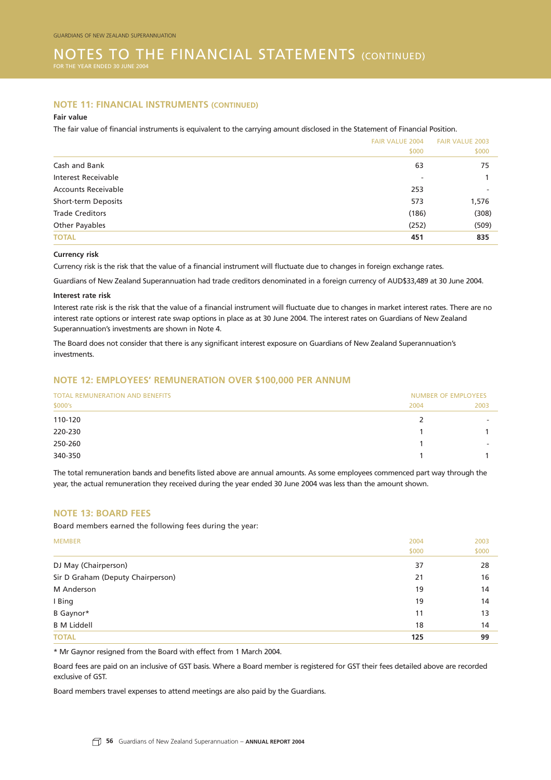#### NOTES TO THE FINANCIAL STATEMENTS (CONTINUED) FOR THE YEAR ENDED 30 JUNE

#### **NOTE 11: FINANCIAL INSTRUMENTS (CONTINUED)**

#### **Fair value**

The fair value of financial instruments is equivalent to the carrying amount disclosed in the Statement of Financial Position.

|                            | <b>FAIR VALUE 2004</b>   | <b>FAIR VALUE 2003</b> |  |
|----------------------------|--------------------------|------------------------|--|
|                            | \$000                    | \$000                  |  |
| Cash and Bank              | 63                       | 75                     |  |
| <b>Interest Receivable</b> | $\overline{\phantom{a}}$ |                        |  |
| <b>Accounts Receivable</b> | 253                      |                        |  |
| Short-term Deposits        | 573                      | 1,576                  |  |
| <b>Trade Creditors</b>     | (186)                    | (308)                  |  |
| Other Payables             | (252)                    | (509)                  |  |
| <b>TOTAL</b>               | 451                      | 835                    |  |

#### **Currency risk**

Currency risk is the risk that the value of a financial instrument will fluctuate due to changes in foreign exchange rates.

Guardians of New Zealand Superannuation had trade creditors denominated in a foreign currency of AUD\$33,489 at 30 June 2004.

#### **Interest rate risk**

Interest rate risk is the risk that the value of a financial instrument will fluctuate due to changes in market interest rates. There are no interest rate options or interest rate swap options in place as at 30 June 2004. The interest rates on Guardians of New Zealand Superannuation's investments are shown in Note 4.

The Board does not consider that there is any significant interest exposure on Guardians of New Zealand Superannuation's investments.

#### **NOTE 12: EMPLOYEES' REMUNERATION OVER \$100,000 PER ANNUM**

| <b>TOTAL REMUNERATION AND BENEFITS</b> | <b>NUMBER OF EMPLOYEES</b> |                          |  |
|----------------------------------------|----------------------------|--------------------------|--|
| \$000's                                | 2004                       | 2003                     |  |
| 110-120                                | 2                          |                          |  |
| 220-230                                |                            |                          |  |
| 250-260                                |                            | $\overline{\phantom{a}}$ |  |
| 340-350                                |                            |                          |  |

The total remuneration bands and benefits listed above are annual amounts. As some employees commenced part way through the year, the actual remuneration they received during the year ended 30 June 2004 was less than the amount shown.

#### **NOTE 13: BOARD FEES**

Board members earned the following fees during the year:

| <b>MEMBER</b>                     | 2004  | 2003  |
|-----------------------------------|-------|-------|
|                                   | \$000 | \$000 |
| DJ May (Chairperson)              | 37    | 28    |
| Sir D Graham (Deputy Chairperson) | 21    | 16    |
| M Anderson                        | 19    | 14    |
| I Bing                            | 19    | 14    |
| B Gaynor*                         | 11    | 13    |
| <b>B</b> M Liddell                | 18    | 14    |
| <b>TOTAL</b>                      | 125   | 99    |

\* Mr Gaynor resigned from the Board with effect from 1 March 2004.

Board fees are paid on an inclusive of GST basis. Where a Board member is registered for GST their fees detailed above are recorded exclusive of GST.

Board members travel expenses to attend meetings are also paid by the Guardians.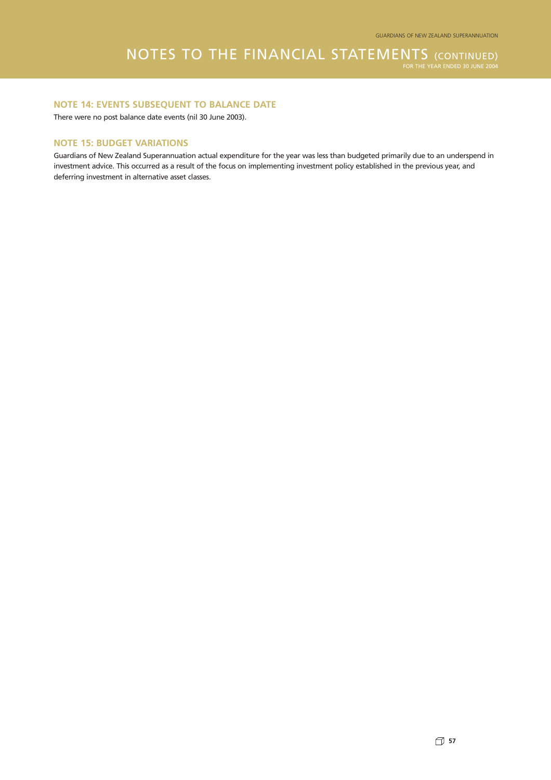#### **NOTE 14: EVENTS SUBSEQUENT TO BALANCE DATE**

There were no post balance date events (nil 30 June 2003).

#### **NOTE 15: BUDGET VARIATIONS**

Guardians of New Zealand Superannuation actual expenditure for the year was less than budgeted primarily due to an underspend in investment advice. This occurred as a result of the focus on implementing investment policy established in the previous year, and deferring investment in alternative asset classes.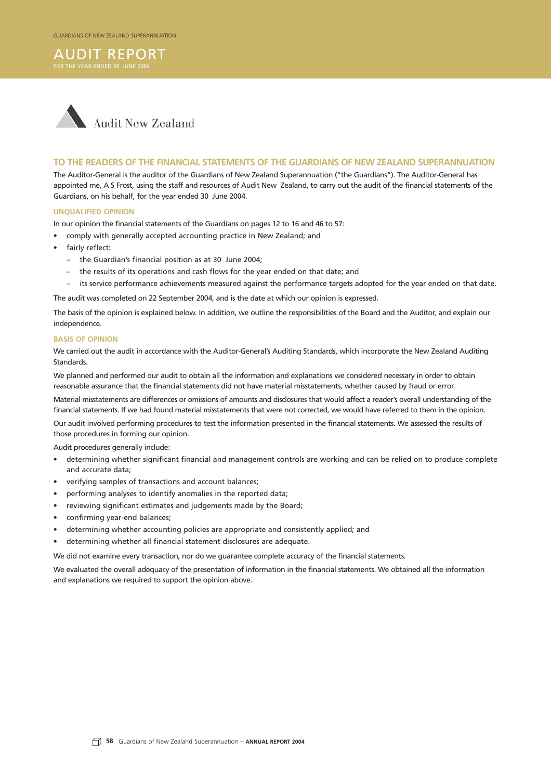## AUDIT REPORT



#### **TO THE READERS OF THE FINANCIAL STATEMENTS OF THE GUARDIANS OF NEW ZEALAND SUPERANNUATION**

The Auditor-General is the auditor of the Guardians of New Zealand Superannuation ("the Guardians"). The Auditor-General has appointed me, A S Frost, using the staff and resources of Audit New Zealand, to carry out the audit of the financial statements of the Guardians, on his behalf, for the year ended 30 June 2004.

#### **UNQUALIFIED OPINION**

In our opinion the financial statements of the Guardians on pages 12 to 16 and 46 to 57:

- comply with generally accepted accounting practice in New Zealand; and
- fairly reflect:
	- the Guardian's financial position as at 30 June 2004;
	- the results of its operations and cash flows for the year ended on that date; and
	- its service performance achievements measured against the performance targets adopted for the year ended on that date.

The audit was completed on 22 September 2004, and is the date at which our opinion is expressed.

The basis of the opinion is explained below. In addition, we outline the responsibilities of the Board and the Auditor, and explain our independence.

#### **BASIS OF OPINION**

We carried out the audit in accordance with the Auditor-General's Auditing Standards, which incorporate the New Zealand Auditing Standards.

We planned and performed our audit to obtain all the information and explanations we considered necessary in order to obtain reasonable assurance that the financial statements did not have material misstatements, whether caused by fraud or error.

Material misstatements are differences or omissions of amounts and disclosures that would affect a reader's overall understanding of the financial statements. If we had found material misstatements that were not corrected, we would have referred to them in the opinion.

Our audit involved performing procedures to test the information presented in the financial statements. We assessed the results of those procedures in forming our opinion.

Audit procedures generally include:

- determining whether significant financial and management controls are working and can be relied on to produce complete and accurate data;
- verifying samples of transactions and account balances;
- performing analyses to identify anomalies in the reported data;
- reviewing significant estimates and judgements made by the Board;
- confirming year-end balances;
- determining whether accounting policies are appropriate and consistently applied; and
- determining whether all financial statement disclosures are adequate.

We did not examine every transaction, nor do we guarantee complete accuracy of the financial statements.

We evaluated the overall adequacy of the presentation of information in the financial statements. We obtained all the information and explanations we required to support the opinion above.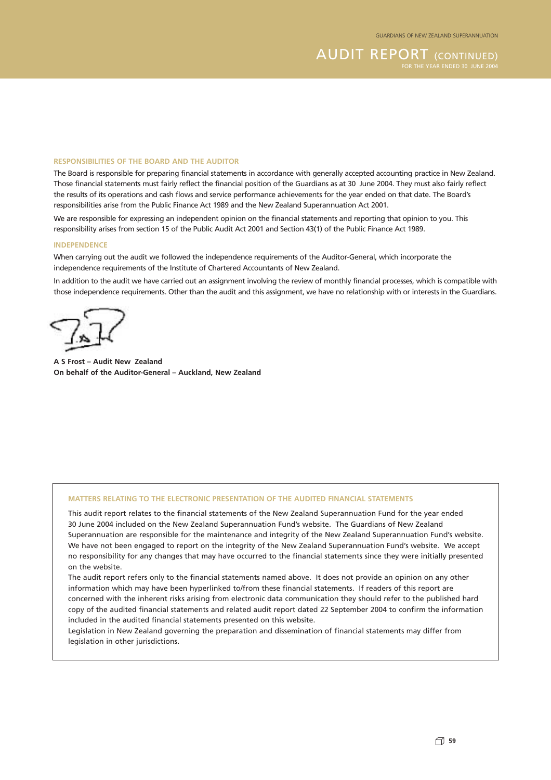**AUDIT REPORT (CONTINUED)** 

#### **RESPONSIBILITIES OF THE BOARD AND THE AUDITOR**

The Board is responsible for preparing financial statements in accordance with generally accepted accounting practice in New Zealand. Those financial statements must fairly reflect the financial position of the Guardians as at 30 June 2004. They must also fairly reflect the results of its operations and cash flows and service performance achievements for the year ended on that date. The Board's responsibilities arise from the Public Finance Act 1989 and the New Zealand Superannuation Act 2001.

We are responsible for expressing an independent opinion on the financial statements and reporting that opinion to you. This responsibility arises from section 15 of the Public Audit Act 2001 and Section 43(1) of the Public Finance Act 1989.

#### **INDEPENDENCE**

When carrying out the audit we followed the independence requirements of the Auditor-General, which incorporate the independence requirements of the Institute of Chartered Accountants of New Zealand.

In addition to the audit we have carried out an assignment involving the review of monthly financial processes, which is compatible with those independence requirements. Other than the audit and this assignment, we have no relationship with or interests in the Guardians.

**A S Frost – Audit New Zealand On behalf of the Auditor-General – Auckland, New Zealand**

#### **MATTERS RELATING TO THE ELECTRONIC PRESENTATION OF THE AUDITED FINANCIAL STATEMENTS**

This audit report relates to the financial statements of the New Zealand Superannuation Fund for the year ended 30 June 2004 included on the New Zealand Superannuation Fund's website. The Guardians of New Zealand Superannuation are responsible for the maintenance and integrity of the New Zealand Superannuation Fund's website. We have not been engaged to report on the integrity of the New Zealand Superannuation Fund's website. We accept no responsibility for any changes that may have occurred to the financial statements since they were initially presented on the website.

The audit report refers only to the financial statements named above. It does not provide an opinion on any other information which may have been hyperlinked to/from these financial statements. If readers of this report are concerned with the inherent risks arising from electronic data communication they should refer to the published hard copy of the audited financial statements and related audit report dated 22 September 2004 to confirm the information included in the audited financial statements presented on this website.

Legislation in New Zealand governing the preparation and dissemination of financial statements may differ from legislation in other jurisdictions.